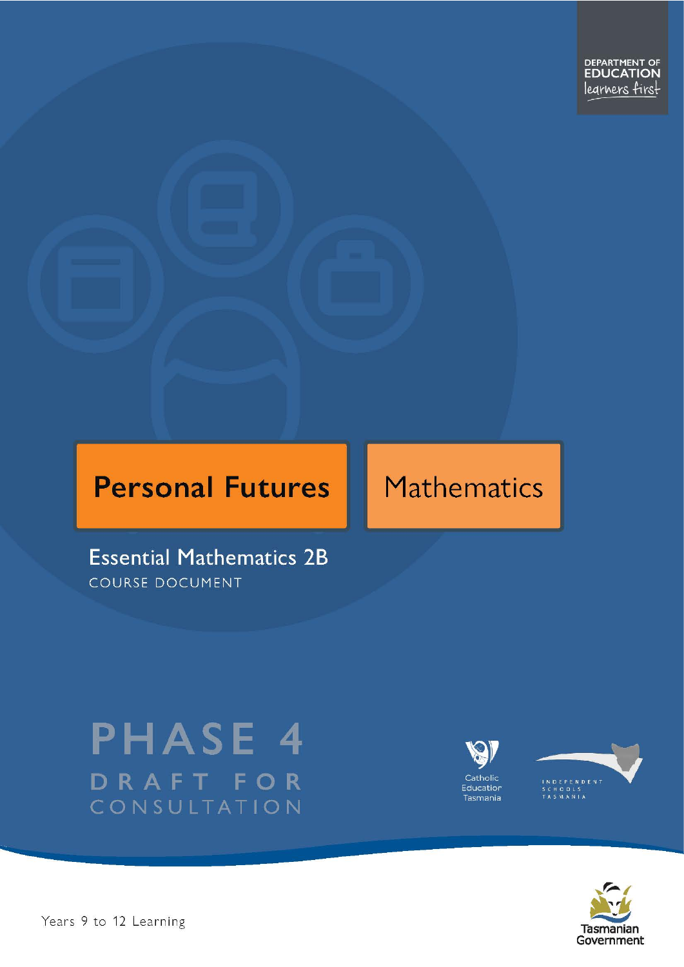# **Personal Futures**

# **Mathematics**

**Essential Mathematics 2B COURSE DOCUMENT** 

# **PHASE 4** DRAFT FOR CONSULTATION





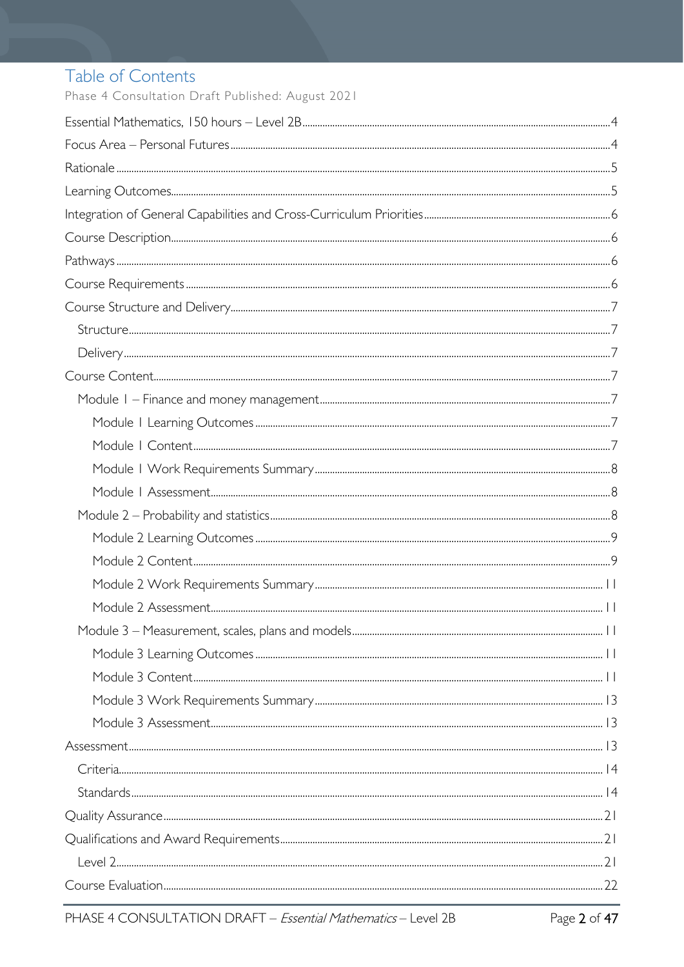# Table of Contents

Phase 4 Consultation Draft Published: August 2021

| $Structure \begin{small} . \end{small}$ |  |
|-----------------------------------------|--|
|                                         |  |
|                                         |  |
|                                         |  |
|                                         |  |
|                                         |  |
|                                         |  |
|                                         |  |
|                                         |  |
|                                         |  |
|                                         |  |
|                                         |  |
|                                         |  |
|                                         |  |
|                                         |  |
|                                         |  |
|                                         |  |
|                                         |  |
|                                         |  |
|                                         |  |
|                                         |  |
|                                         |  |
|                                         |  |
|                                         |  |
|                                         |  |
|                                         |  |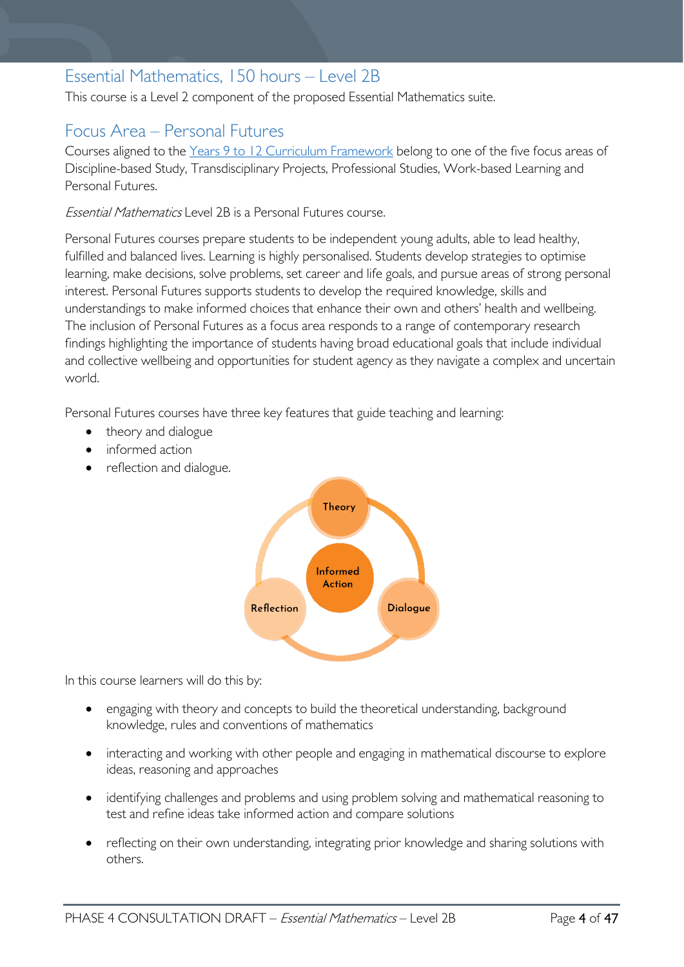# <span id="page-3-0"></span>Essential Mathematics, 150 hours – Level 2B

This course is a Level 2 component of the proposed Essential Mathematics suite.

# <span id="page-3-1"></span>Focus Area – Personal Futures

Courses aligned to the [Years 9 to 12 Curriculum Framework](https://publicdocumentcentre.education.tas.gov.au/library/Shared%20Documents/Education%209-12%20Frameworks%20A3%20WEB%20POSTER.pdf) belong to one of the five focus areas of Discipline-based Study, Transdisciplinary Projects, Professional Studies, Work-based Learning and Personal Futures.

Essential Mathematics Level 2B is a Personal Futures course.

Personal Futures courses prepare students to be independent young adults, able to lead healthy, fulfilled and balanced lives. Learning is highly personalised. Students develop strategies to optimise learning, make decisions, solve problems, set career and life goals, and pursue areas of strong personal interest. Personal Futures supports students to develop the required knowledge, skills and understandings to make informed choices that enhance their own and others' health and wellbeing. The inclusion of Personal Futures as a focus area responds to a range of contemporary research findings highlighting the importance of students having broad educational goals that include individual and collective wellbeing and opportunities for student agency as they navigate a complex and uncertain world.

Personal Futures courses have three key features that guide teaching and learning:

- theory and dialogue
- informed action
- reflection and dialogue.



In this course learners will do this by:

- engaging with theory and concepts to build the theoretical understanding, background knowledge, rules and conventions of mathematics
- interacting and working with other people and engaging in mathematical discourse to explore ideas, reasoning and approaches
- identifying challenges and problems and using problem solving and mathematical reasoning to test and refine ideas take informed action and compare solutions
- reflecting on their own understanding, integrating prior knowledge and sharing solutions with others.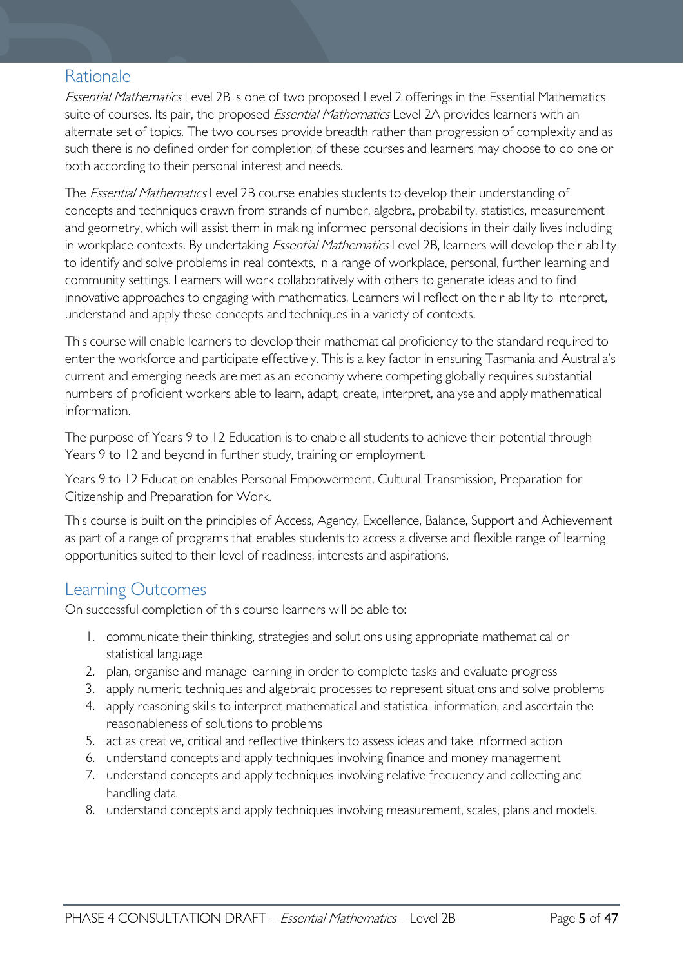# <span id="page-4-0"></span>Rationale

Essential Mathematics Level 2B is one of two proposed Level 2 offerings in the Essential Mathematics suite of courses. Its pair, the proposed *Essential Mathematics* Level 2A provides learners with an alternate set of topics. The two courses provide breadth rather than progression of complexity and as such there is no defined order for completion of these courses and learners may choose to do one or both according to their personal interest and needs.

The *Essential Mathematics* Level 2B course enables students to develop their understanding of concepts and techniques drawn from strands of number, algebra, probability, statistics, measurement and geometry, which will assist them in making informed personal decisions in their daily lives including in workplace contexts. By undertaking *Essential Mathematics* Level 2B, learners will develop their ability to identify and solve problems in real contexts, in a range of workplace, personal, further learning and community settings. Learners will work collaboratively with others to generate ideas and to find innovative approaches to engaging with mathematics. Learners will reflect on their ability to interpret, understand and apply these concepts and techniques in a variety of contexts.

This course will enable learners to develop their mathematical proficiency to the standard required to enter the workforce and participate effectively. This is a key factor in ensuring Tasmania and Australia's current and emerging needs are met as an economy where competing globally requires substantial numbers of proficient workers able to learn, adapt, create, interpret, analyse and apply mathematical information.

The purpose of Years 9 to 12 Education is to enable all students to achieve their potential through Years 9 to 12 and beyond in further study, training or employment.

Years 9 to 12 Education enables Personal Empowerment, Cultural Transmission, Preparation for Citizenship and Preparation for Work.

This course is built on the principles of Access, Agency, Excellence, Balance, Support and Achievement as part of a range of programs that enables students to access a diverse and flexible range of learning opportunities suited to their level of readiness, interests and aspirations.

# <span id="page-4-1"></span>Learning Outcomes

On successful completion of this course learners will be able to:

- 1. communicate their thinking, strategies and solutions using appropriate mathematical or statistical language
- 2. plan, organise and manage learning in order to complete tasks and evaluate progress
- 3. apply numeric techniques and algebraic processes to represent situations and solve problems
- 4. apply reasoning skills to interpret mathematical and statistical information, and ascertain the reasonableness of solutions to problems
- 5. act as creative, critical and reflective thinkers to assess ideas and take informed action
- 6. understand concepts and apply techniques involving finance and money management
- 7. understand concepts and apply techniques involving relative frequency and collecting and handling data
- 8. understand concepts and apply techniques involving measurement, scales, plans and models.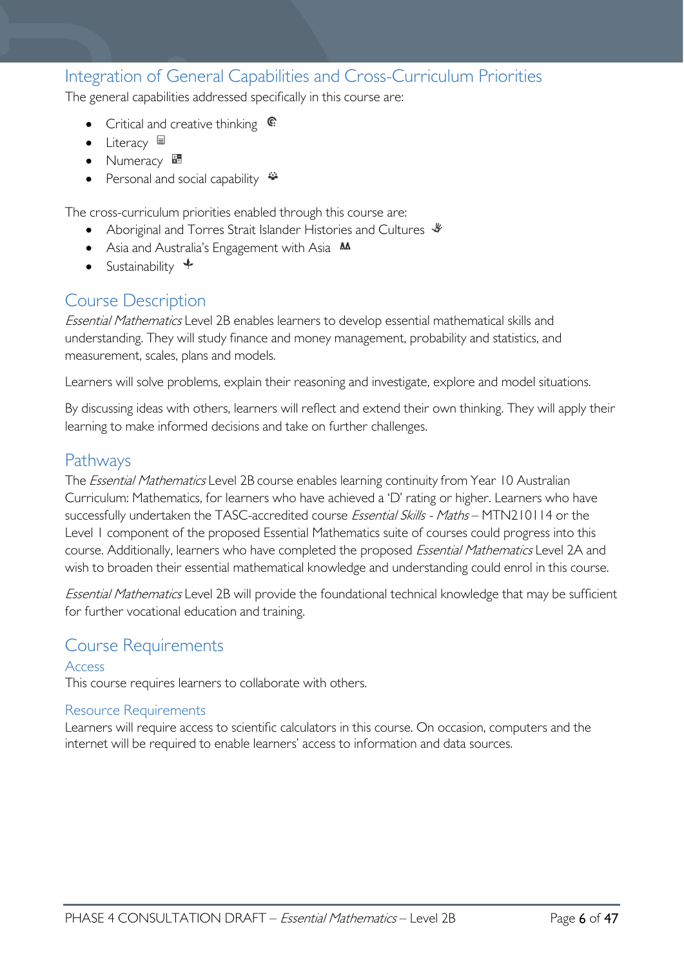# <span id="page-5-0"></span>Integration of General Capabilities and Cross-Curriculum Priorities

The general capabilities addressed specifically in this course are:

- Critical and creative thinking  $\mathbb{C}$
- Literacy
- Numeracy
- Personal and social capability  $\ddot{\ddot{}}$

The cross-curriculum priorities enabled through this course are:

- Aboriginal and Torres Strait Islander Histories and Cultures  $\mathcal$
- Asia and Australia's Engagement with Asia **AA**
- Sustainability  $\triangleleft$

# <span id="page-5-1"></span>Course Description

Essential Mathematics Level 2B enables learners to develop essential mathematical skills and understanding. They will study finance and money management, probability and statistics, and measurement, scales, plans and models.

Learners will solve problems, explain their reasoning and investigate, explore and model situations.

By discussing ideas with others, learners will reflect and extend their own thinking. They will apply their learning to make informed decisions and take on further challenges.

## <span id="page-5-2"></span>Pathways

The *Essential Mathematics* Level 2B course enables learning continuity from Year 10 Australian Curriculum: Mathematics, for learners who have achieved a 'D' rating or higher. Learners who have successfully undertaken the TASC-accredited course Essential Skills - Maths - MTN210114 or the Level 1 component of the proposed Essential Mathematics suite of courses could progress into this course. Additionally, learners who have completed the proposed *Essential Mathematics* Level 2A and wish to broaden their essential mathematical knowledge and understanding could enrol in this course.

Essential Mathematics Level 2B will provide the foundational technical knowledge that may be sufficient for further vocational education and training.

## <span id="page-5-3"></span>Course Requirements

# Access

This course requires learners to collaborate with others.

### Resource Requirements

Learners will require access to scientific calculators in this course. On occasion, computers and the internet will be required to enable learners' access to information and data sources.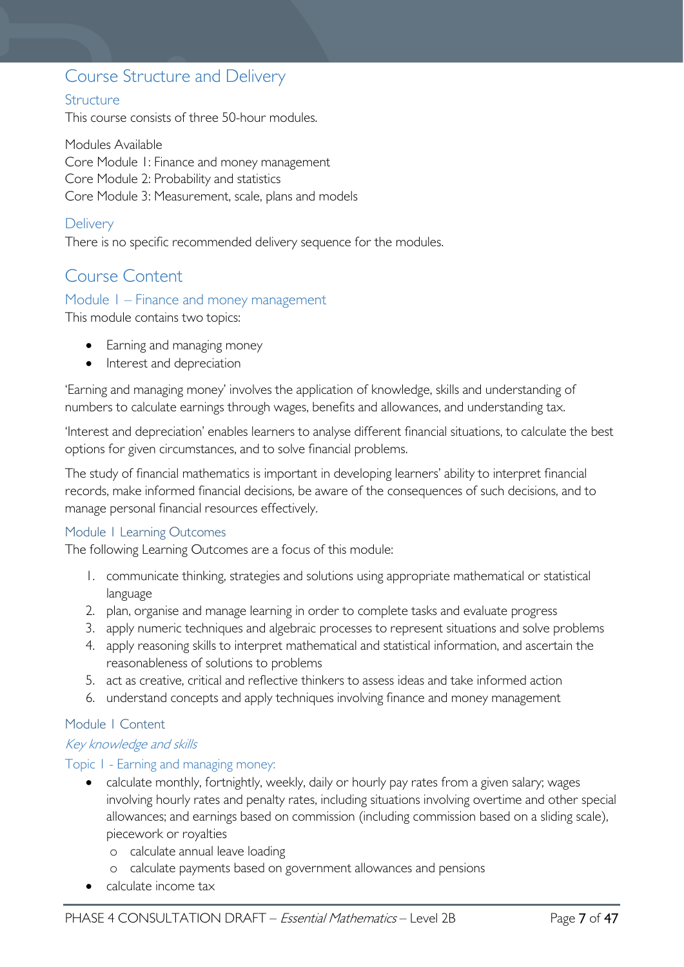# <span id="page-6-0"></span>Course Structure and Delivery

### <span id="page-6-1"></span>**Structure**

This course consists of three 50-hour modules.

Modules Available Core Module 1: Finance and money management Core Module 2: Probability and statistics Core Module 3: Measurement, scale, plans and models

### <span id="page-6-2"></span>**Delivery**

There is no specific recommended delivery sequence for the modules.

# <span id="page-6-3"></span>Course Content

### <span id="page-6-4"></span>Module 1 – Finance and money management

This module contains two topics:

- Earning and managing money
- Interest and depreciation

'Earning and managing money' involves the application of knowledge, skills and understanding of numbers to calculate earnings through wages, benefits and allowances, and understanding tax.

'Interest and depreciation' enables learners to analyse different financial situations, to calculate the best options for given circumstances, and to solve financial problems.

The study of financial mathematics is important in developing learners' ability to interpret financial records, make informed financial decisions, be aware of the consequences of such decisions, and to manage personal financial resources effectively.

### <span id="page-6-5"></span>Module 1 Learning Outcomes

The following Learning Outcomes are a focus of this module:

- 1. communicate thinking, strategies and solutions using appropriate mathematical or statistical language
- 2. plan, organise and manage learning in order to complete tasks and evaluate progress
- 3. apply numeric techniques and algebraic processes to represent situations and solve problems
- 4. apply reasoning skills to interpret mathematical and statistical information, and ascertain the reasonableness of solutions to problems
- 5. act as creative, critical and reflective thinkers to assess ideas and take informed action
- 6. understand concepts and apply techniques involving finance and money management

### <span id="page-6-6"></span>Module 1 Content

### Key knowledge and skills

### Topic 1 - Earning and managing money:

- calculate monthly, fortnightly, weekly, daily or hourly pay rates from a given salary; wages involving hourly rates and penalty rates, including situations involving overtime and other special allowances; and earnings based on commission (including commission based on a sliding scale), piecework or royalties
	- o calculate annual leave loading
	- o calculate payments based on government allowances and pensions
- calculate income tax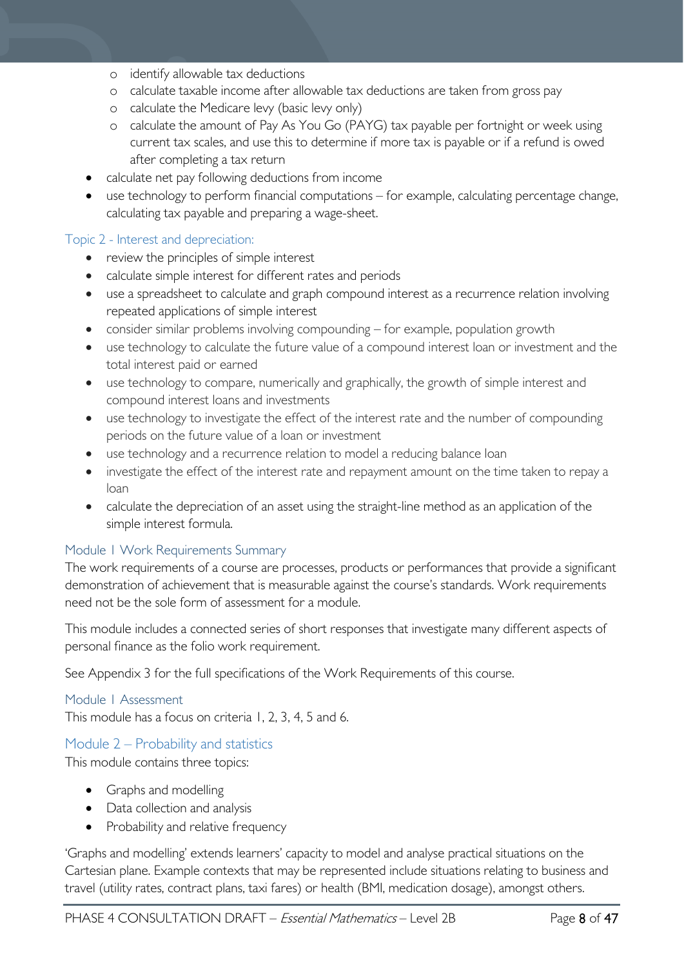- o identify allowable tax deductions
- o calculate taxable income after allowable tax deductions are taken from gross pay
- o calculate the Medicare levy (basic levy only)
- o calculate the amount of Pay As You Go (PAYG) tax payable per fortnight or week using current tax scales, and use this to determine if more tax is payable or if a refund is owed after completing a tax return
- calculate net pay following deductions from income
- use technology to perform financial computations for example, calculating percentage change, calculating tax payable and preparing a wage-sheet.

### Topic 2 - Interest and depreciation:

- review the principles of simple interest
- calculate simple interest for different rates and periods
- use a spreadsheet to calculate and graph compound interest as a recurrence relation involving repeated applications of simple interest
- consider similar problems involving compounding for example, population growth
- use technology to calculate the future value of a compound interest loan or investment and the total interest paid or earned
- use technology to compare, numerically and graphically, the growth of simple interest and compound interest loans and investments
- use technology to investigate the effect of the interest rate and the number of compounding periods on the future value of a loan or investment
- use technology and a recurrence relation to model a reducing balance loan
- investigate the effect of the interest rate and repayment amount on the time taken to repay a loan
- calculate the depreciation of an asset using the straight-line method as an application of the simple interest formula.

### <span id="page-7-0"></span>Module 1 Work Requirements Summary

The work requirements of a course are processes, products or performances that provide a significant demonstration of achievement that is measurable against the course's standards. Work requirements need not be the sole form of assessment for a module.

This module includes a connected series of short responses that investigate many different aspects of personal finance as the folio work requirement.

See Appendix 3 for the full specifications of the Work Requirements of this course.

### <span id="page-7-1"></span>Module 1 Assessment

This module has a focus on criteria 1, 2, 3, 4, 5 and 6.

### <span id="page-7-2"></span>Module 2 – Probability and statistics

This module contains three topics:

- Graphs and modelling
- Data collection and analysis
- Probability and relative frequency

'Graphs and modelling' extends learners' capacity to model and analyse practical situations on the Cartesian plane. Example contexts that may be represented include situations relating to business and travel (utility rates, contract plans, taxi fares) or health (BMI, medication dosage), amongst others.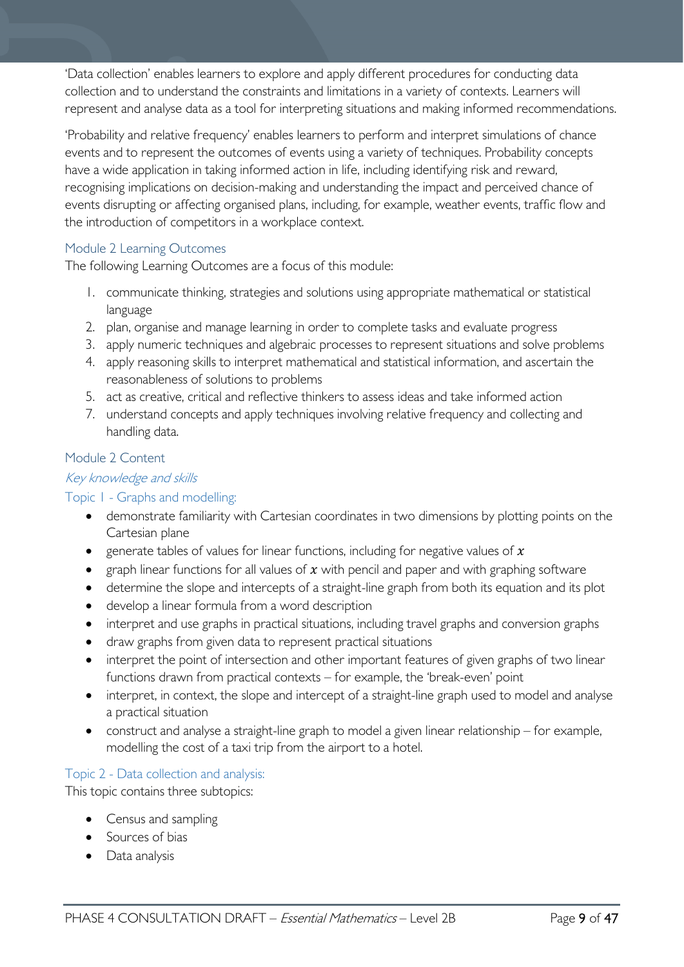'Data collection' enables learners to explore and apply different procedures for conducting data collection and to understand the constraints and limitations in a variety of contexts. Learners will represent and analyse data as a tool for interpreting situations and making informed recommendations.

'Probability and relative frequency' enables learners to perform and interpret simulations of chance events and to represent the outcomes of events using a variety of techniques. Probability concepts have a wide application in taking informed action in life, including identifying risk and reward, recognising implications on decision-making and understanding the impact and perceived chance of events disrupting or affecting organised plans, including, for example, weather events, traffic flow and the introduction of competitors in a workplace context.

### <span id="page-8-0"></span>Module 2 Learning Outcomes

The following Learning Outcomes are a focus of this module:

- 1. communicate thinking, strategies and solutions using appropriate mathematical or statistical language
- 2. plan, organise and manage learning in order to complete tasks and evaluate progress
- 3. apply numeric techniques and algebraic processes to represent situations and solve problems
- 4. apply reasoning skills to interpret mathematical and statistical information, and ascertain the reasonableness of solutions to problems
- 5. act as creative, critical and reflective thinkers to assess ideas and take informed action
- 7. understand concepts and apply techniques involving relative frequency and collecting and handling data.

### <span id="page-8-1"></span>Module 2 Content

### Key knowledge and skills

### Topic 1 - Graphs and modelling:

- demonstrate familiarity with Cartesian coordinates in two dimensions by plotting points on the Cartesian plane
- generate tables of values for linear functions, including for negative values of  $x$
- graph linear functions for all values of  $x$  with pencil and paper and with graphing software
- determine the slope and intercepts of a straight-line graph from both its equation and its plot
- develop a linear formula from a word description
- interpret and use graphs in practical situations, including travel graphs and conversion graphs
- draw graphs from given data to represent practical situations
- interpret the point of intersection and other important features of given graphs of two linear functions drawn from practical contexts – for example, the 'break-even' point
- interpret, in context, the slope and intercept of a straight-line graph used to model and analyse a practical situation
- construct and analyse a straight-line graph to model a given linear relationship for example, modelling the cost of a taxi trip from the airport to a hotel.

### Topic 2 - Data collection and analysis:

This topic contains three subtopics:

- Census and sampling
- Sources of bias
- Data analysis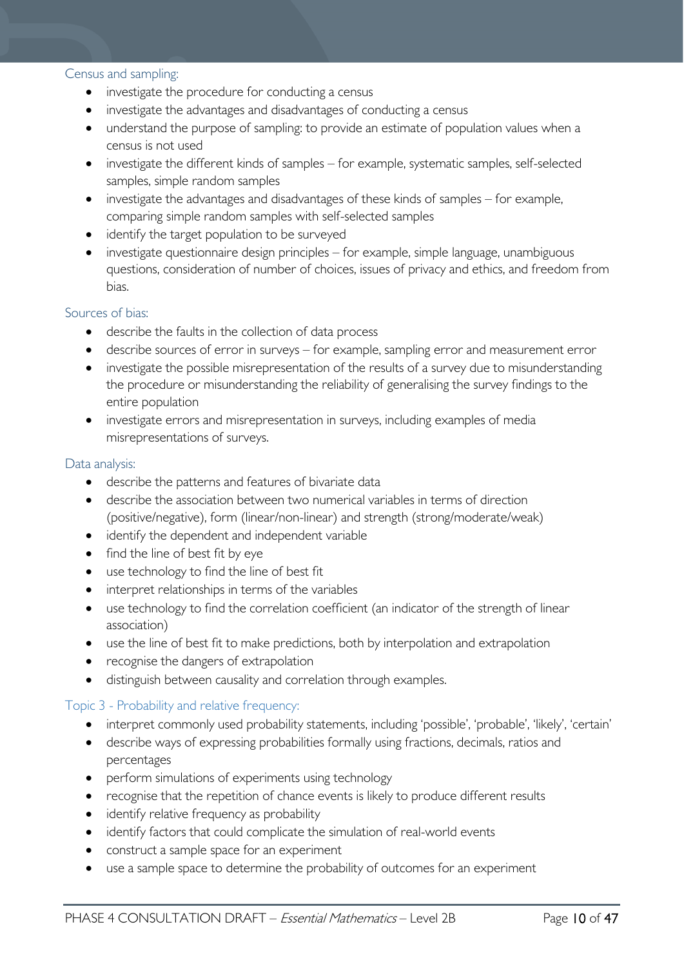### Census and sampling:

- investigate the procedure for conducting a census
- investigate the advantages and disadvantages of conducting a census
- understand the purpose of sampling: to provide an estimate of population values when a census is not used
- investigate the different kinds of samples for example, systematic samples, self-selected samples, simple random samples
- investigate the advantages and disadvantages of these kinds of samples for example, comparing simple random samples with self-selected samples
- identify the target population to be surveyed
- investigate questionnaire design principles for example, simple language, unambiguous questions, consideration of number of choices, issues of privacy and ethics, and freedom from bias.

### Sources of bias:

- describe the faults in the collection of data process
- describe sources of error in surveys for example, sampling error and measurement error
- investigate the possible misrepresentation of the results of a survey due to misunderstanding the procedure or misunderstanding the reliability of generalising the survey findings to the entire population
- investigate errors and misrepresentation in surveys, including examples of media misrepresentations of surveys.

### Data analysis:

- describe the patterns and features of bivariate data
- describe the association between two numerical variables in terms of direction (positive/negative), form (linear/non-linear) and strength (strong/moderate/weak)
- identify the dependent and independent variable
- find the line of best fit by eye
- use technology to find the line of best fit
- interpret relationships in terms of the variables
- use technology to find the correlation coefficient (an indicator of the strength of linear association)
- use the line of best fit to make predictions, both by interpolation and extrapolation
- recognise the dangers of extrapolation
- distinguish between causality and correlation through examples.

### Topic 3 - Probability and relative frequency:

- interpret commonly used probability statements, including 'possible', 'probable', 'likely', 'certain'
- describe ways of expressing probabilities formally using fractions, decimals, ratios and percentages
- perform simulations of experiments using technology
- recognise that the repetition of chance events is likely to produce different results
- identify relative frequency as probability
- identify factors that could complicate the simulation of real-world events
- construct a sample space for an experiment
- use a sample space to determine the probability of outcomes for an experiment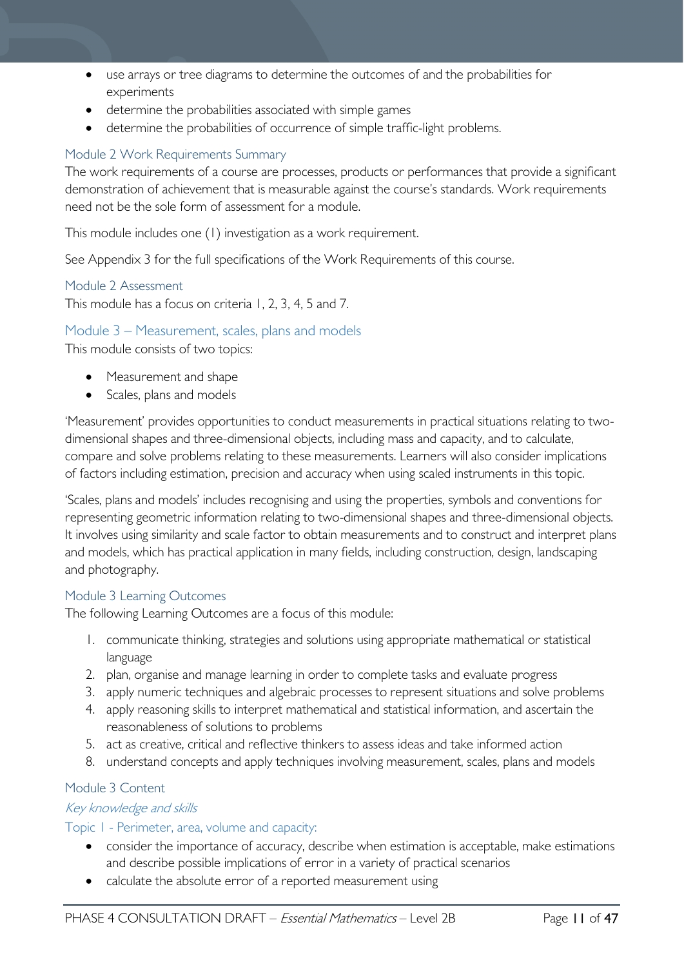- use arrays or tree diagrams to determine the outcomes of and the probabilities for experiments
- determine the probabilities associated with simple games
- determine the probabilities of occurrence of simple traffic-light problems.

### <span id="page-10-0"></span>Module 2 Work Requirements Summary

The work requirements of a course are processes, products or performances that provide a significant demonstration of achievement that is measurable against the course's standards. Work requirements need not be the sole form of assessment for a module.

This module includes one (1) investigation as a work requirement.

See Appendix 3 for the full specifications of the Work Requirements of this course.

### <span id="page-10-1"></span>Module 2 Assessment

This module has a focus on criteria 1, 2, 3, 4, 5 and 7.

### <span id="page-10-2"></span>Module 3 – Measurement, scales, plans and models

This module consists of two topics:

- Measurement and shape
- Scales, plans and models

'Measurement' provides opportunities to conduct measurements in practical situations relating to twodimensional shapes and three-dimensional objects, including mass and capacity, and to calculate, compare and solve problems relating to these measurements. Learners will also consider implications of factors including estimation, precision and accuracy when using scaled instruments in this topic.

'Scales, plans and models' includes recognising and using the properties, symbols and conventions for representing geometric information relating to two-dimensional shapes and three-dimensional objects. It involves using similarity and scale factor to obtain measurements and to construct and interpret plans and models, which has practical application in many fields, including construction, design, landscaping and photography.

### <span id="page-10-3"></span>Module 3 Learning Outcomes

The following Learning Outcomes are a focus of this module:

- 1. communicate thinking, strategies and solutions using appropriate mathematical or statistical language
- 2. plan, organise and manage learning in order to complete tasks and evaluate progress
- 3. apply numeric techniques and algebraic processes to represent situations and solve problems
- 4. apply reasoning skills to interpret mathematical and statistical information, and ascertain the reasonableness of solutions to problems
- 5. act as creative, critical and reflective thinkers to assess ideas and take informed action
- 8. understand concepts and apply techniques involving measurement, scales, plans and models

### <span id="page-10-4"></span>Module 3 Content

### Key knowledge and skills

### Topic 1 - Perimeter, area, volume and capacity:

- consider the importance of accuracy, describe when estimation is acceptable, make estimations and describe possible implications of error in a variety of practical scenarios
- calculate the absolute error of a reported measurement using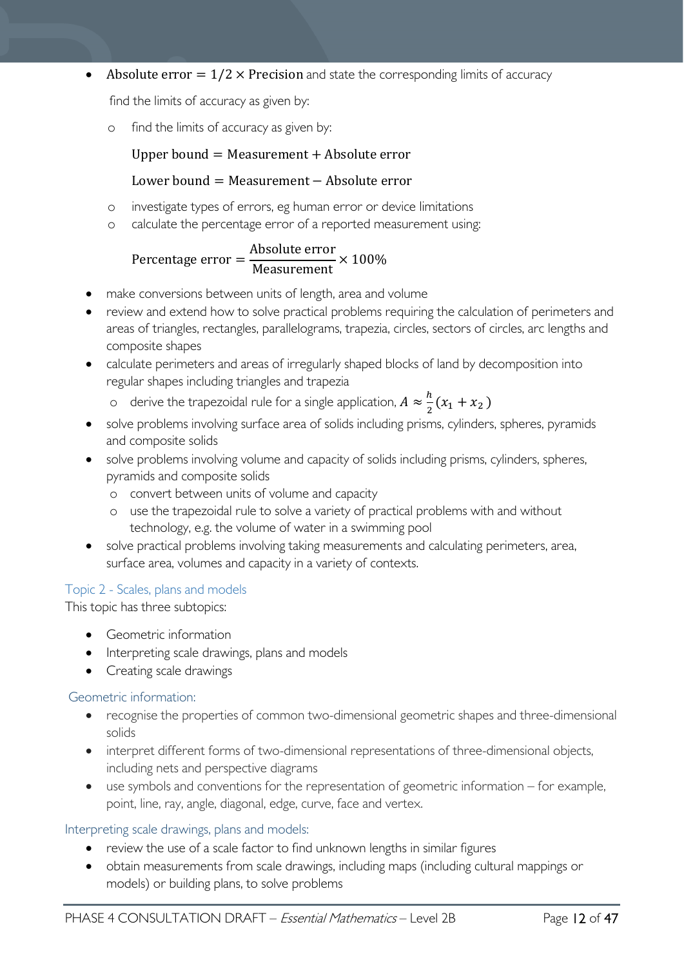• Absolute error  $= 1/2 \times$  Precision and state the corresponding limits of accuracy

find the limits of accuracy as given by:

o find the limits of accuracy as given by:

### Upper bound  $=$  Measurement  $+$  Absolute error

### Lower bound = Measurement − Absolute error

- o investigate types of errors, eg human error or device limitations
- o calculate the percentage error of a reported measurement using:

#### Percentage error  $=$   $\frac{\text{Absolute error}}{\text{Magsurement}}$ Measurement  $\times$  100%

- make conversions between units of length, area and volume
- review and extend how to solve practical problems requiring the calculation of perimeters and areas of triangles, rectangles, parallelograms, trapezia, circles, sectors of circles, arc lengths and composite shapes
- calculate perimeters and areas of irregularly shaped blocks of land by decomposition into regular shapes including triangles and trapezia
	- o derive the trapezoidal rule for a single application,  $A \approx \frac{h}{2}(x_1 + x_2)$
- solve problems involving surface area of solids including prisms, cylinders, spheres, pyramids and composite solids
- solve problems involving volume and capacity of solids including prisms, cylinders, spheres, pyramids and composite solids
	- o convert between units of volume and capacity
	- o use the trapezoidal rule to solve a variety of practical problems with and without technology, e.g. the volume of water in a swimming pool
- solve practical problems involving taking measurements and calculating perimeters, area, surface area, volumes and capacity in a variety of contexts.

### Topic 2 - Scales, plans and models

This topic has three subtopics:

- Geometric information
- Interpreting scale drawings, plans and models
- Creating scale drawings

### Geometric information:

- recognise the properties of common two-dimensional geometric shapes and three-dimensional solids
- interpret different forms of two-dimensional representations of three-dimensional objects, including nets and perspective diagrams
- use symbols and conventions for the representation of geometric information for example, point, line, ray, angle, diagonal, edge, curve, face and vertex.

### Interpreting scale drawings, plans and models:

- review the use of a scale factor to find unknown lengths in similar figures
- obtain measurements from scale drawings, including maps (including cultural mappings or models) or building plans, to solve problems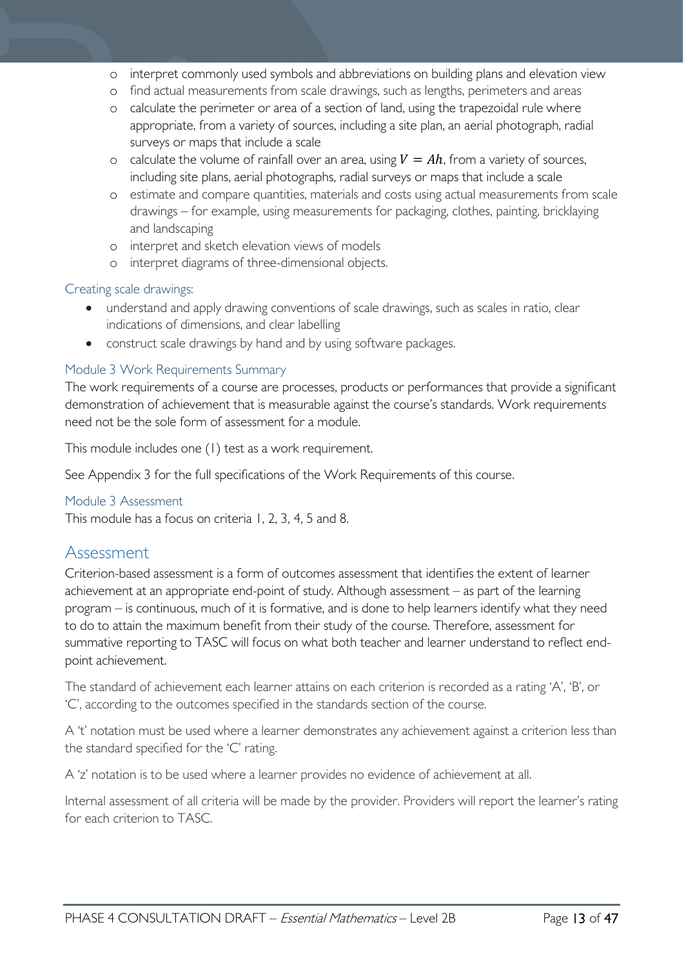- o interpret commonly used symbols and abbreviations on building plans and elevation view
- o find actual measurements from scale drawings, such as lengths, perimeters and areas
- o calculate the perimeter or area of a section of land, using the trapezoidal rule where appropriate, from a variety of sources, including a site plan, an aerial photograph, radial surveys or maps that include a scale
- o calculate the volume of rainfall over an area, using  $V = Ah$ , from a variety of sources, including site plans, aerial photographs, radial surveys or maps that include a scale
- o estimate and compare quantities, materials and costs using actual measurements from scale drawings – for example, using measurements for packaging, clothes, painting, bricklaying and landscaping
- o interpret and sketch elevation views of models
- o interpret diagrams of three-dimensional objects.

### Creating scale drawings:

- understand and apply drawing conventions of scale drawings, such as scales in ratio, clear indications of dimensions, and clear labelling
- construct scale drawings by hand and by using software packages.

### <span id="page-12-0"></span>Module 3 Work Requirements Summary

The work requirements of a course are processes, products or performances that provide a significant demonstration of achievement that is measurable against the course's standards. Work requirements need not be the sole form of assessment for a module.

This module includes one (1) test as a work requirement.

See Appendix 3 for the full specifications of the Work Requirements of this course.

### <span id="page-12-1"></span>Module 3 Assessment

This module has a focus on criteria 1, 2, 3, 4, 5 and 8.

### <span id="page-12-2"></span>Assessment

Criterion-based assessment is a form of outcomes assessment that identifies the extent of learner achievement at an appropriate end-point of study. Although assessment – as part of the learning program – is continuous, much of it is formative, and is done to help learners identify what they need to do to attain the maximum benefit from their study of the course. Therefore, assessment for summative reporting to TASC will focus on what both teacher and learner understand to reflect endpoint achievement.

The standard of achievement each learner attains on each criterion is recorded as a rating 'A', 'B', or 'C', according to the outcomes specified in the standards section of the course.

A 't' notation must be used where a learner demonstrates any achievement against a criterion less than the standard specified for the 'C' rating.

A 'z' notation is to be used where a learner provides no evidence of achievement at all.

Internal assessment of all criteria will be made by the provider. Providers will report the learner's rating for each criterion to TASC.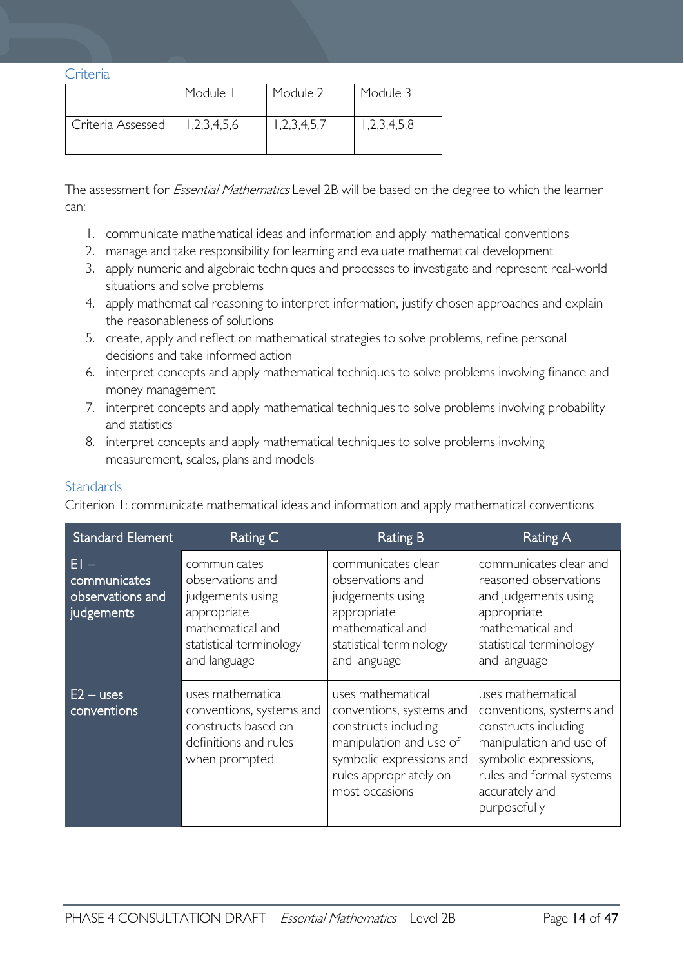<span id="page-13-0"></span>Criteria

|                   | Module I    | Module 2    | Module 3    |
|-------------------|-------------|-------------|-------------|
| Criteria Assessed | 1,2,3,4,5,6 | 1,2,3,4,5,7 | 1,2,3,4,5,8 |

The assessment for *Essential Mathematics* Level 2B will be based on the degree to which the learner can:

- 1. communicate mathematical ideas and information and apply mathematical conventions
- 2. manage and take responsibility for learning and evaluate mathematical development
- 3. apply numeric and algebraic techniques and processes to investigate and represent real-world situations and solve problems
- 4. apply mathematical reasoning to interpret information, justify chosen approaches and explain the reasonableness of solutions
- 5. create, apply and reflect on mathematical strategies to solve problems, refine personal decisions and take informed action
- 6. interpret concepts and apply mathematical techniques to solve problems involving finance and money management
- 7. interpret concepts and apply mathematical techniques to solve problems involving probability and statistics
- 8. interpret concepts and apply mathematical techniques to solve problems involving measurement, scales, plans and models

### <span id="page-13-1"></span>**Standards**

Criterion 1: communicate mathematical ideas and information and apply mathematical conventions

| <b>Standard Element</b>                                  | Rating C                                                                                                                           | Rating B                                                                                                                                                                 | Rating A                                                                                                                                                                                |
|----------------------------------------------------------|------------------------------------------------------------------------------------------------------------------------------------|--------------------------------------------------------------------------------------------------------------------------------------------------------------------------|-----------------------------------------------------------------------------------------------------------------------------------------------------------------------------------------|
| $E1 -$<br>communicates<br>observations and<br>judgements | communicates<br>observations and<br>judgements using<br>appropriate<br>mathematical and<br>statistical terminology<br>and language | communicates clear<br>observations and<br>judgements using<br>appropriate<br>mathematical and<br>statistical terminology<br>and language                                 | communicates clear and<br>reasoned observations<br>and judgements using<br>appropriate<br>mathematical and<br>statistical terminology<br>and language                                   |
| $E2 - uses$<br>conventions                               | uses mathematical<br>conventions, systems and<br>constructs based on<br>definitions and rules<br>when prompted                     | uses mathematical<br>conventions, systems and<br>constructs including<br>manipulation and use of<br>symbolic expressions and<br>rules appropriately on<br>most occasions | uses mathematical<br>conventions, systems and<br>constructs including<br>manipulation and use of<br>symbolic expressions,<br>rules and formal systems<br>accurately and<br>purposefully |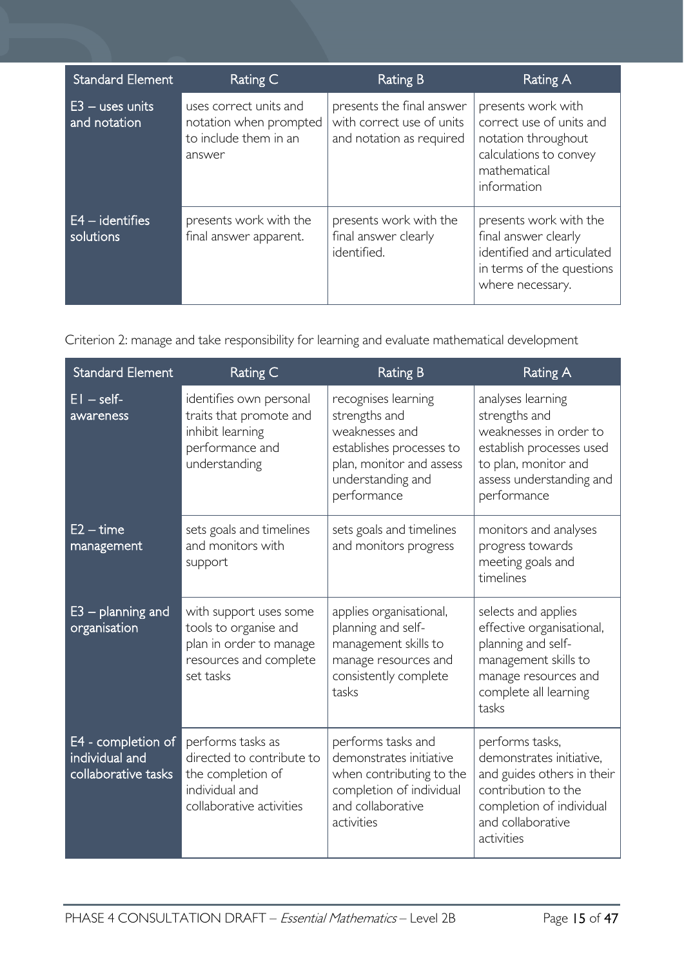| <b>Standard Element</b>           | Rating C                                                                            | <b>Rating B</b>                                                                    | Rating A                                                                                                                       |
|-----------------------------------|-------------------------------------------------------------------------------------|------------------------------------------------------------------------------------|--------------------------------------------------------------------------------------------------------------------------------|
| $E3 -$ uses units<br>and notation | uses correct units and<br>notation when prompted<br>to include them in an<br>answer | presents the final answer<br>with correct use of units<br>and notation as required | presents work with<br>correct use of units and<br>notation throughout<br>calculations to convey<br>mathematical<br>information |
| $E4 - identifies$<br>solutions    | presents work with the<br>final answer apparent.                                    | presents work with the<br>final answer clearly<br>identified.                      | presents work with the<br>final answer clearly<br>identified and articulated<br>in terms of the questions<br>where necessary.  |

Criterion 2: manage and take responsibility for learning and evaluate mathematical development

| <b>Standard Element</b>                                     | Rating C                                                                                                          | <b>Rating B</b>                                                                                                                                    | <b>Rating A</b>                                                                                                                                                 |
|-------------------------------------------------------------|-------------------------------------------------------------------------------------------------------------------|----------------------------------------------------------------------------------------------------------------------------------------------------|-----------------------------------------------------------------------------------------------------------------------------------------------------------------|
| $EI - self$<br>awareness                                    | identifies own personal<br>traits that promote and<br>inhibit learning<br>performance and<br>understanding        | recognises learning<br>strengths and<br>weaknesses and<br>establishes processes to<br>plan, monitor and assess<br>understanding and<br>performance | analyses learning<br>strengths and<br>weaknesses in order to<br>establish processes used<br>to plan, monitor and<br>assess understanding and<br>performance     |
| $E2 - time$<br>management                                   | sets goals and timelines<br>and monitors with<br>support                                                          | sets goals and timelines<br>and monitors progress                                                                                                  | monitors and analyses<br>progress towards<br>meeting goals and<br>timelines                                                                                     |
| $E3$ – planning and<br>organisation                         | with support uses some<br>tools to organise and<br>plan in order to manage<br>resources and complete<br>set tasks | applies organisational,<br>planning and self-<br>management skills to<br>manage resources and<br>consistently complete<br>tasks                    | selects and applies<br>effective organisational,<br>planning and self-<br>management skills to<br>manage resources and<br>complete all learning<br>tasks        |
| E4 - completion of<br>individual and<br>collaborative tasks | performs tasks as<br>directed to contribute to<br>the completion of<br>individual and<br>collaborative activities | performs tasks and<br>demonstrates initiative<br>when contributing to the<br>completion of individual<br>and collaborative<br>activities           | performs tasks,<br>demonstrates initiative,<br>and guides others in their<br>contribution to the<br>completion of individual<br>and collaborative<br>activities |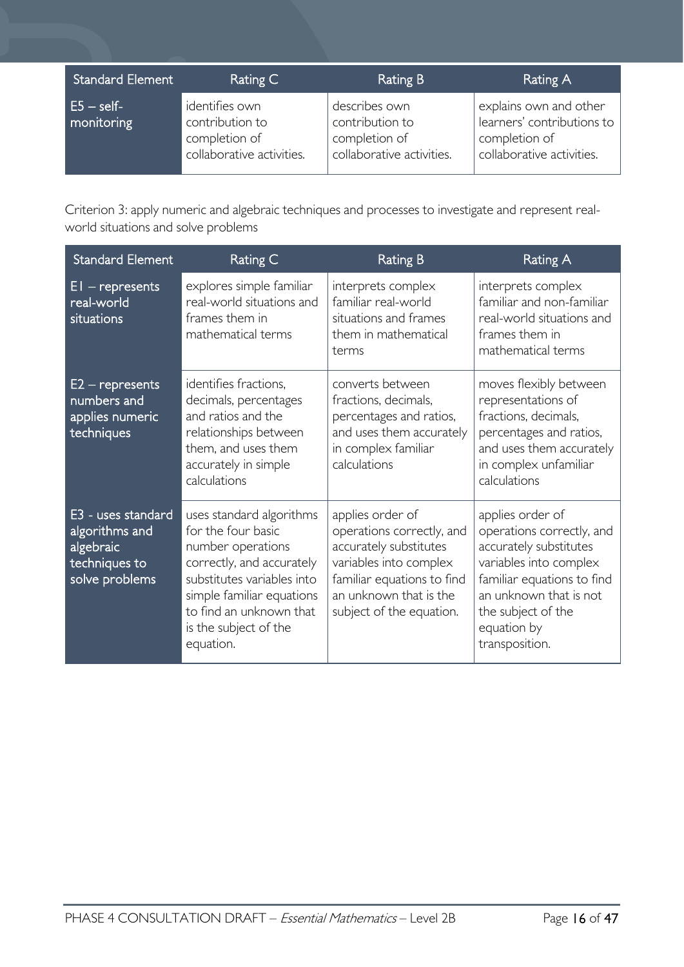| <b>Standard Element</b>   | Rating C                                                                        | Rating B                                                                       | Rating A                                                                                           |
|---------------------------|---------------------------------------------------------------------------------|--------------------------------------------------------------------------------|----------------------------------------------------------------------------------------------------|
| $E5 - self$<br>monitoring | identifies own<br>contribution to<br>completion of<br>collaborative activities. | describes own<br>contribution to<br>completion of<br>collaborative activities. | explains own and other<br>learners' contributions to<br>completion of<br>collaborative activities. |

Criterion 3: apply numeric and algebraic techniques and processes to investigate and represent realworld situations and solve problems

| <b>Standard Element</b>                                                              | <b>Rating C</b>                                                                                                                                                                                                              | <b>Rating B</b>                                                                                                                                                                       | <b>Rating A</b>                                                                                                                                                                                                  |
|--------------------------------------------------------------------------------------|------------------------------------------------------------------------------------------------------------------------------------------------------------------------------------------------------------------------------|---------------------------------------------------------------------------------------------------------------------------------------------------------------------------------------|------------------------------------------------------------------------------------------------------------------------------------------------------------------------------------------------------------------|
| $EI$ – represents<br>real-world<br>situations                                        | explores simple familiar<br>real-world situations and<br>frames them in<br>mathematical terms                                                                                                                                | interprets complex<br>familiar real-world<br>situations and frames<br>them in mathematical<br>terms                                                                                   | interprets complex<br>familiar and non-familiar<br>real-world situations and<br>frames them in<br>mathematical terms                                                                                             |
| $E2$ – represents<br>numbers and<br>applies numeric<br>techniques                    | identifies fractions,<br>decimals, percentages<br>and ratios and the<br>relationships between<br>them, and uses them<br>accurately in simple<br>calculations                                                                 | converts between<br>fractions, decimals,<br>percentages and ratios,<br>and uses them accurately<br>in complex familiar<br>calculations                                                | moves flexibly between<br>representations of<br>fractions, decimals,<br>percentages and ratios,<br>and uses them accurately<br>in complex unfamiliar<br>calculations                                             |
| E3 - uses standard<br>algorithms and<br>algebraic<br>techniques to<br>solve problems | uses standard algorithms<br>for the four basic<br>number operations<br>correctly, and accurately<br>substitutes variables into<br>simple familiar equations<br>to find an unknown that<br>is the subject of the<br>equation. | applies order of<br>operations correctly, and<br>accurately substitutes<br>variables into complex<br>familiar equations to find<br>an unknown that is the<br>subject of the equation. | applies order of<br>operations correctly, and<br>accurately substitutes<br>variables into complex<br>familiar equations to find<br>an unknown that is not<br>the subject of the<br>equation by<br>transposition. |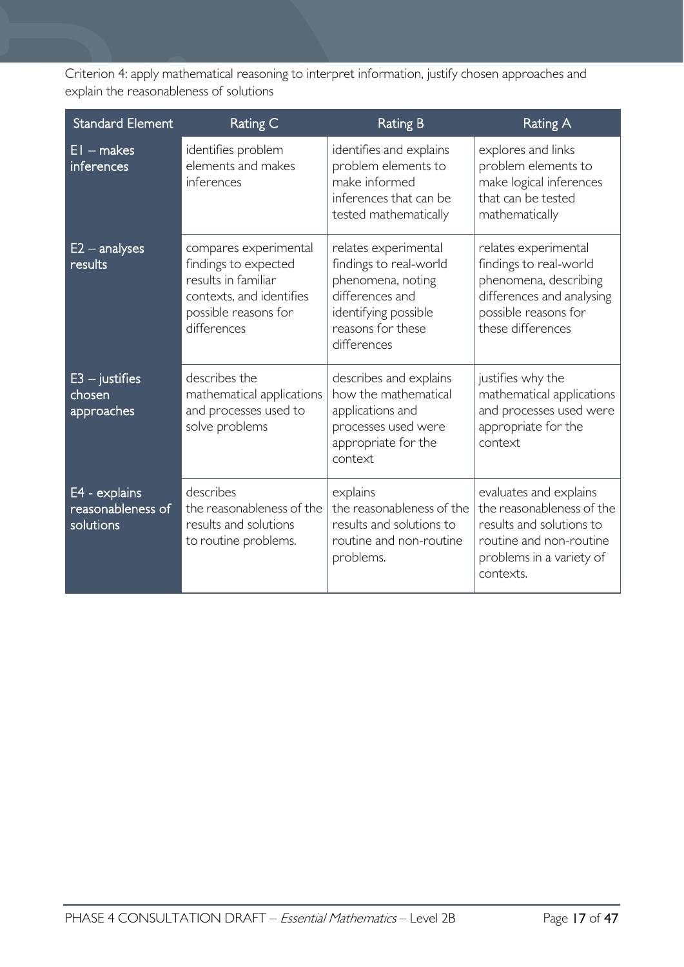Criterion 4: apply mathematical reasoning to interpret information, justify chosen approaches and explain the reasonableness of solutions

| <b>Standard Element</b>                         | Rating C                                                                                                                                | <b>Rating B</b>                                                                                                                                    | <b>Rating A</b>                                                                                                                                     |
|-------------------------------------------------|-----------------------------------------------------------------------------------------------------------------------------------------|----------------------------------------------------------------------------------------------------------------------------------------------------|-----------------------------------------------------------------------------------------------------------------------------------------------------|
| $EI$ – makes<br>inferences                      | identifies problem<br>elements and makes<br>inferences                                                                                  | identifies and explains<br>problem elements to<br>make informed<br>inferences that can be<br>tested mathematically                                 | explores and links<br>problem elements to<br>make logical inferences<br>that can be tested<br>mathematically                                        |
| $E2 -$ analyses<br>results                      | compares experimental<br>findings to expected<br>results in familiar<br>contexts, and identifies<br>possible reasons for<br>differences | relates experimental<br>findings to real-world<br>phenomena, noting<br>differences and<br>identifying possible<br>reasons for these<br>differences | relates experimental<br>findings to real-world<br>phenomena, describing<br>differences and analysing<br>possible reasons for<br>these differences   |
| $E3 -$ justifies<br>chosen<br>approaches        | describes the<br>mathematical applications<br>and processes used to<br>solve problems                                                   | describes and explains<br>how the mathematical<br>applications and<br>processes used were<br>appropriate for the<br>context                        | justifies why the<br>mathematical applications<br>and processes used were<br>appropriate for the<br>context                                         |
| E4 - explains<br>reasonableness of<br>solutions | describes<br>the reasonableness of the<br>results and solutions<br>to routine problems.                                                 | explains<br>the reasonableness of the<br>results and solutions to<br>routine and non-routine<br>problems.                                          | evaluates and explains<br>the reasonableness of the<br>results and solutions to<br>routine and non-routine<br>problems in a variety of<br>contexts. |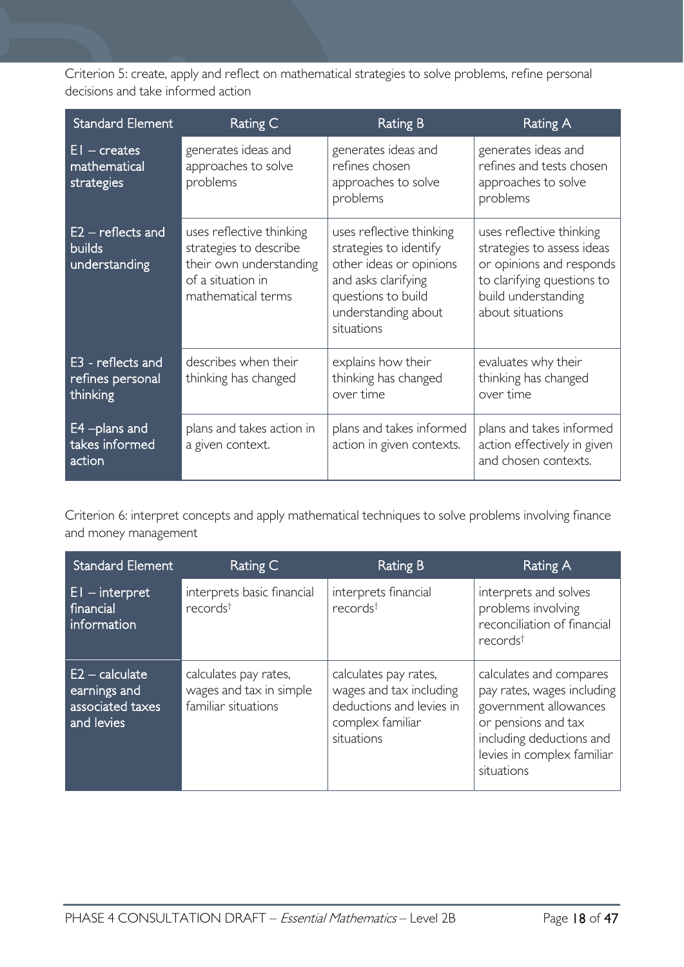Criterion 5: create, apply and reflect on mathematical strategies to solve problems, refine personal decisions and take informed action

| <b>Standard Element</b>                               | Rating C                                                                                                                 | <b>Rating B</b>                                                                                                                                                 | <b>Rating A</b>                                                                                                                                             |
|-------------------------------------------------------|--------------------------------------------------------------------------------------------------------------------------|-----------------------------------------------------------------------------------------------------------------------------------------------------------------|-------------------------------------------------------------------------------------------------------------------------------------------------------------|
| $EI - creates$<br>mathematical<br>strategies          | generates ideas and<br>approaches to solve<br>problems                                                                   | generates ideas and<br>refines chosen<br>approaches to solve<br>problems                                                                                        | generates ideas and<br>refines and tests chosen<br>approaches to solve<br>problems                                                                          |
| $E2$ – reflects and<br><b>builds</b><br>understanding | uses reflective thinking<br>strategies to describe<br>their own understanding<br>of a situation in<br>mathematical terms | uses reflective thinking<br>strategies to identify<br>other ideas or opinions<br>and asks clarifying<br>questions to build<br>understanding about<br>situations | uses reflective thinking<br>strategies to assess ideas<br>or opinions and responds<br>to clarifying questions to<br>build understanding<br>about situations |
| E3 - reflects and<br>refines personal<br>thinking     | describes when their<br>thinking has changed                                                                             | explains how their<br>thinking has changed<br>over time                                                                                                         | evaluates why their<br>thinking has changed<br>over time                                                                                                    |
| E4 - plans and<br>takes informed<br>action            | plans and takes action in<br>a given context.                                                                            | plans and takes informed<br>action in given contexts.                                                                                                           | plans and takes informed<br>action effectively in given<br>and chosen contexts.                                                                             |

Criterion 6: interpret concepts and apply mathematical techniques to solve problems involving finance and money management

| <b>Standard Element</b>                                                    | Rating C                                                                | <b>Rating B</b>                                                                                                | <b>Rating A</b>                                                                                                                                                               |
|----------------------------------------------------------------------------|-------------------------------------------------------------------------|----------------------------------------------------------------------------------------------------------------|-------------------------------------------------------------------------------------------------------------------------------------------------------------------------------|
| $E1 -$ interpret<br>financial<br>information                               | interprets basic financial<br>records <sup>t</sup>                      | interprets financial<br>records <sup>t</sup>                                                                   | interprets and solves<br>problems involving<br>reconciliation of financial<br>records <sup>†</sup>                                                                            |
| $E2 - \text{calculated}$<br>earnings and<br>associated taxes<br>and levies | calculates pay rates,<br>wages and tax in simple<br>familiar situations | calculates pay rates,<br>wages and tax including<br>deductions and levies in<br>complex familiar<br>situations | calculates and compares<br>pay rates, wages including<br>government allowances<br>or pensions and tax<br>including deductions and<br>levies in complex familiar<br>situations |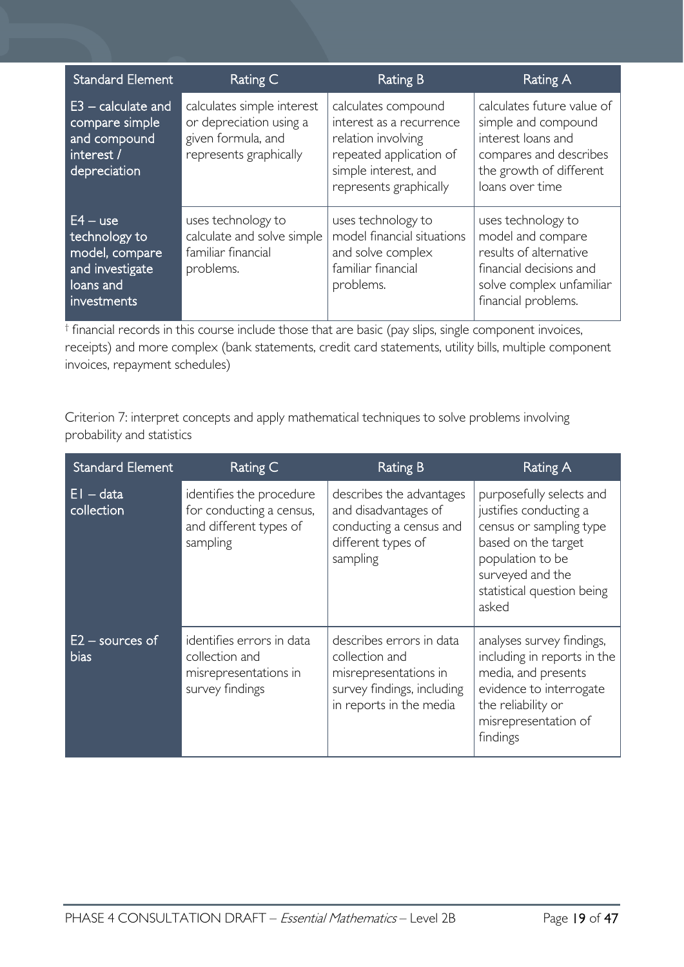| <b>Standard Element</b>                                                                      | Rating C                                                                                              | <b>Rating B</b>                                                                                                                                    | Rating A                                                                                                                                        |
|----------------------------------------------------------------------------------------------|-------------------------------------------------------------------------------------------------------|----------------------------------------------------------------------------------------------------------------------------------------------------|-------------------------------------------------------------------------------------------------------------------------------------------------|
| $E3 -$ calculate and<br>compare simple<br>and compound<br>interest /<br>depreciation         | calculates simple interest<br>or depreciation using a<br>given formula, and<br>represents graphically | calculates compound<br>interest as a recurrence<br>relation involving<br>repeated application of<br>simple interest, and<br>represents graphically | calculates future value of<br>simple and compound<br>interest loans and<br>compares and describes<br>the growth of different<br>loans over time |
| $E4 - use$<br>technology to<br>model, compare<br>and investigate<br>loans and<br>investments | uses technology to<br>calculate and solve simple<br>familiar financial<br>problems.                   | uses technology to<br>model financial situations<br>and solve complex<br>familiar financial<br>problems.                                           | uses technology to<br>model and compare<br>results of alternative<br>financial decisions and<br>solve complex unfamiliar<br>financial problems. |

 $<sup>†</sup>$  financial records in this course include those that are basic (pay slips, single component invoices,</sup> receipts) and more complex (bank statements, credit card statements, utility bills, multiple component invoices, repayment schedules)

Criterion 7: interpret concepts and apply mathematical techniques to solve problems involving probability and statistics

| <b>Standard Element</b>   | Rating C                                                                                   | Rating B                                                                                                                     | Rating A                                                                                                                                                                            |
|---------------------------|--------------------------------------------------------------------------------------------|------------------------------------------------------------------------------------------------------------------------------|-------------------------------------------------------------------------------------------------------------------------------------------------------------------------------------|
| EI – data<br>collection   | identifies the procedure<br>for conducting a census,<br>and different types of<br>sampling | describes the advantages<br>and disadvantages of<br>conducting a census and<br>different types of<br>sampling                | purposefully selects and<br>justifies conducting a<br>census or sampling type<br>based on the target<br>population to be<br>surveyed and the<br>statistical question being<br>asked |
| $E2$ – sources of<br>bias | identifies errors in data<br>collection and<br>misrepresentations in<br>survey findings    | describes errors in data<br>collection and<br>misrepresentations in<br>survey findings, including<br>in reports in the media | analyses survey findings,<br>including in reports in the<br>media, and presents<br>evidence to interrogate<br>the reliability or<br>misrepresentation of<br>findings                |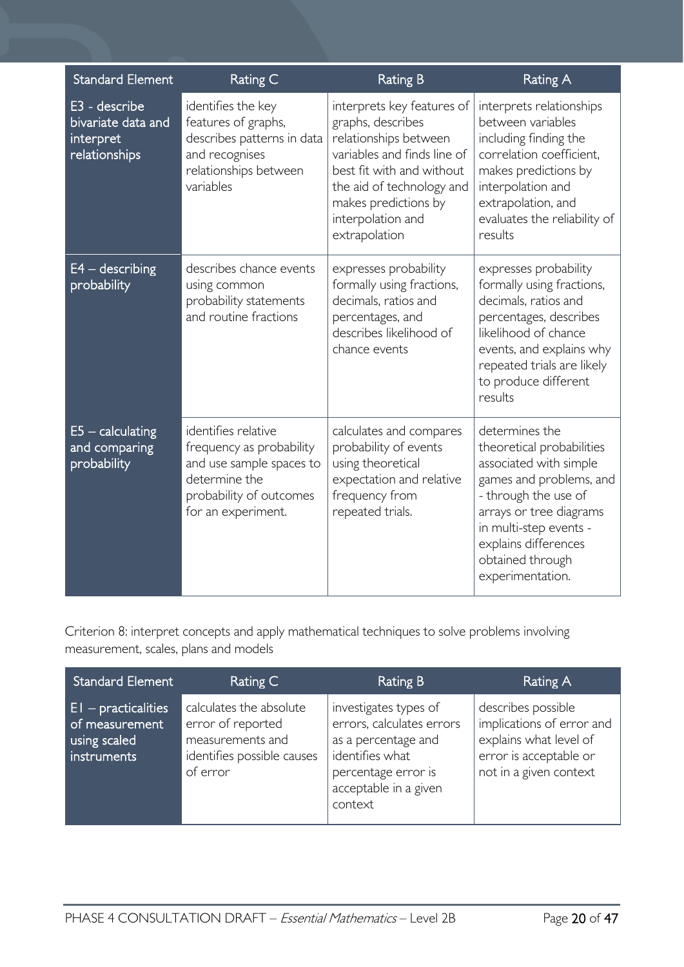| <b>Standard Element</b>                                           | Rating C                                                                                                                                      | <b>Rating B</b>                                                                                                                                                                                                                 | <b>Rating A</b>                                                                                                                                                                                                                               |
|-------------------------------------------------------------------|-----------------------------------------------------------------------------------------------------------------------------------------------|---------------------------------------------------------------------------------------------------------------------------------------------------------------------------------------------------------------------------------|-----------------------------------------------------------------------------------------------------------------------------------------------------------------------------------------------------------------------------------------------|
| E3 - describe<br>bivariate data and<br>interpret<br>relationships | identifies the key<br>features of graphs,<br>describes patterns in data<br>and recognises<br>relationships between<br>variables               | interprets key features of<br>graphs, describes<br>relationships between<br>variables and finds line of<br>best fit with and without<br>the aid of technology and<br>makes predictions by<br>interpolation and<br>extrapolation | interprets relationships<br>between variables<br>including finding the<br>correlation coefficient,<br>makes predictions by<br>interpolation and<br>extrapolation, and<br>evaluates the reliability of<br>results                              |
| $E4 -$ describing<br>probability                                  | describes chance events<br>using common<br>probability statements<br>and routine fractions                                                    | expresses probability<br>formally using fractions,<br>decimals, ratios and<br>percentages, and<br>describes likelihood of<br>chance events                                                                                      | expresses probability<br>formally using fractions,<br>decimals, ratios and<br>percentages, describes<br>likelihood of chance<br>events, and explains why<br>repeated trials are likely<br>to produce different<br>results                     |
| $E5 -$ calculating<br>and comparing<br>probability                | identifies relative<br>frequency as probability<br>and use sample spaces to<br>determine the<br>probability of outcomes<br>for an experiment. | calculates and compares<br>probability of events<br>using theoretical<br>expectation and relative<br>frequency from<br>repeated trials.                                                                                         | determines the<br>theoretical probabilities<br>associated with simple<br>games and problems, and<br>- through the use of<br>arrays or tree diagrams<br>in multi-step events -<br>explains differences<br>obtained through<br>experimentation. |

Criterion 8: interpret concepts and apply mathematical techniques to solve problems involving measurement, scales, plans and models

| <b>Standard Element</b>                                                | Rating C                                                                                                   | Rating B                                                                                                                                                | Rating A                                                                                                                      |
|------------------------------------------------------------------------|------------------------------------------------------------------------------------------------------------|---------------------------------------------------------------------------------------------------------------------------------------------------------|-------------------------------------------------------------------------------------------------------------------------------|
| $E1$ – practicalities<br>of measurement<br>using scaled<br>instruments | calculates the absolute<br>error of reported<br>measurements and<br>identifies possible causes<br>of error | investigates types of<br>errors, calculates errors<br>as a percentage and<br>identifies what<br>percentage error is<br>acceptable in a given<br>context | describes possible<br>implications of error and<br>explains what level of<br>error is acceptable or<br>not in a given context |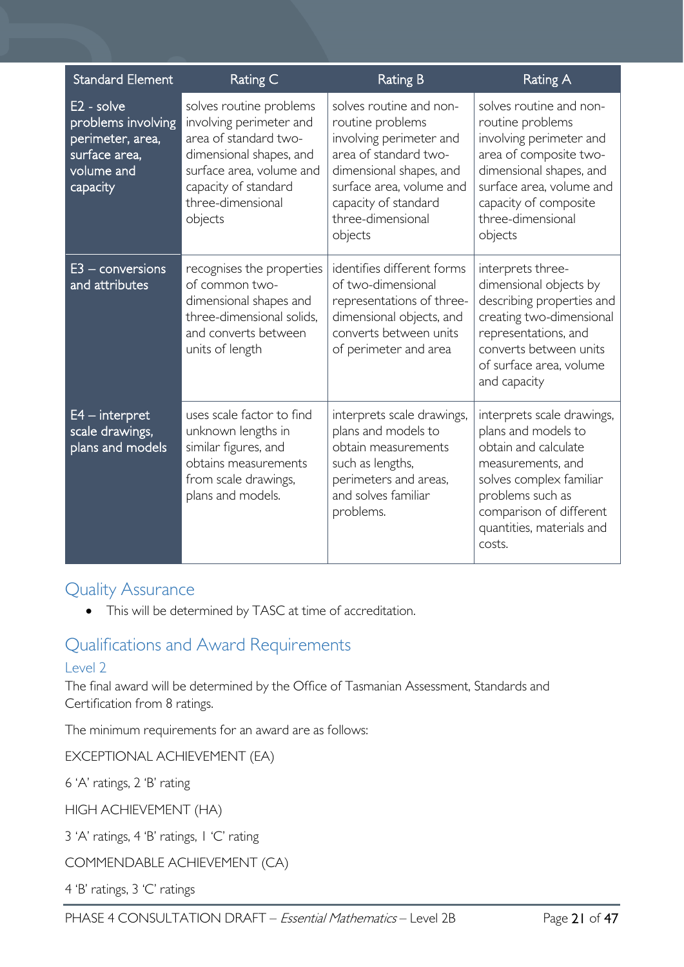| <b>Standard Element</b>                                                                           | Rating C                                                                                                                                                                                   | <b>Rating B</b>                                                                                                                                                                                                | <b>Rating A</b>                                                                                                                                                                                                  |
|---------------------------------------------------------------------------------------------------|--------------------------------------------------------------------------------------------------------------------------------------------------------------------------------------------|----------------------------------------------------------------------------------------------------------------------------------------------------------------------------------------------------------------|------------------------------------------------------------------------------------------------------------------------------------------------------------------------------------------------------------------|
| $E2 - solve$<br>problems involving<br>perimeter, area,<br>surface area,<br>volume and<br>capacity | solves routine problems<br>involving perimeter and<br>area of standard two-<br>dimensional shapes, and<br>surface area, volume and<br>capacity of standard<br>three-dimensional<br>objects | solves routine and non-<br>routine problems<br>involving perimeter and<br>area of standard two-<br>dimensional shapes, and<br>surface area, volume and<br>capacity of standard<br>three-dimensional<br>objects | solves routine and non-<br>routine problems<br>involving perimeter and<br>area of composite two-<br>dimensional shapes, and<br>surface area, volume and<br>capacity of composite<br>three-dimensional<br>objects |
| $E3$ – conversions<br>and attributes                                                              | recognises the properties<br>of common two-<br>dimensional shapes and<br>three-dimensional solids.<br>and converts between<br>units of length                                              | identifies different forms<br>of two-dimensional<br>representations of three-<br>dimensional objects, and<br>converts between units<br>of perimeter and area                                                   | interprets three-<br>dimensional objects by<br>describing properties and<br>creating two-dimensional<br>representations, and<br>converts between units<br>of surface area, volume<br>and capacity                |
| $E4$ – interpret<br>scale drawings,<br>plans and models                                           | uses scale factor to find<br>unknown lengths in<br>similar figures, and<br>obtains measurements<br>from scale drawings,<br>plans and models.                                               | interprets scale drawings,<br>plans and models to<br>obtain measurements<br>such as lengths,<br>perimeters and areas,<br>and solves familiar<br>problems.                                                      | interprets scale drawings,<br>plans and models to<br>obtain and calculate<br>measurements, and<br>solves complex familiar<br>problems such as<br>comparison of different<br>quantities, materials and<br>costs.  |

# <span id="page-20-0"></span>Quality Assurance

• This will be determined by TASC at time of accreditation.

# <span id="page-20-1"></span>Qualifications and Award Requirements

### <span id="page-20-2"></span>Level 2

The final award will be determined by the Office of Tasmanian Assessment, Standards and Certification from 8 ratings.

The minimum requirements for an award are as follows:

EXCEPTIONAL ACHIEVEMENT (EA)

6 'A' ratings, 2 'B' rating

HIGH ACHIEVEMENT (HA)

3 'A' ratings, 4 'B' ratings, 1 'C' rating

COMMENDABLE ACHIEVEMENT (CA)

4 'B' ratings, 3 'C' ratings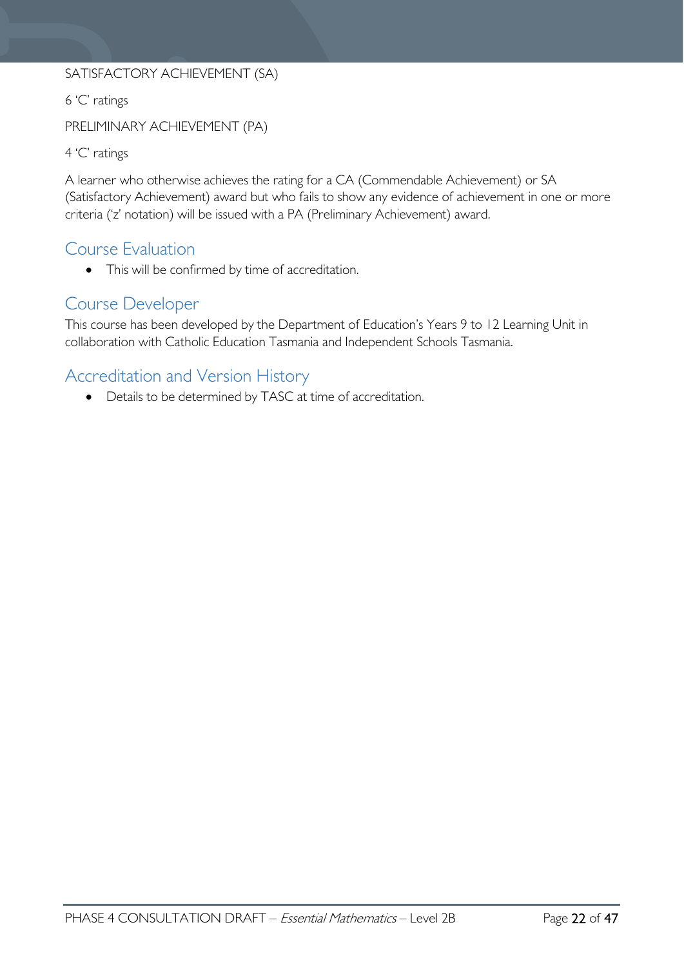### SATISFACTORY ACHIEVEMENT (SA)

6 'C' ratings

PRELIMINARY ACHIEVEMENT (PA)

4 'C' ratings

A learner who otherwise achieves the rating for a CA (Commendable Achievement) or SA (Satisfactory Achievement) award but who fails to show any evidence of achievement in one or more criteria ('z' notation) will be issued with a PA (Preliminary Achievement) award.

# <span id="page-21-0"></span>Course Evaluation

• This will be confirmed by time of accreditation.

### <span id="page-21-1"></span>Course Developer

This course has been developed by the Department of Education's Years 9 to 12 Learning Unit in collaboration with Catholic Education Tasmania and Independent Schools Tasmania.

# <span id="page-21-2"></span>Accreditation and Version History

• Details to be determined by TASC at time of accreditation.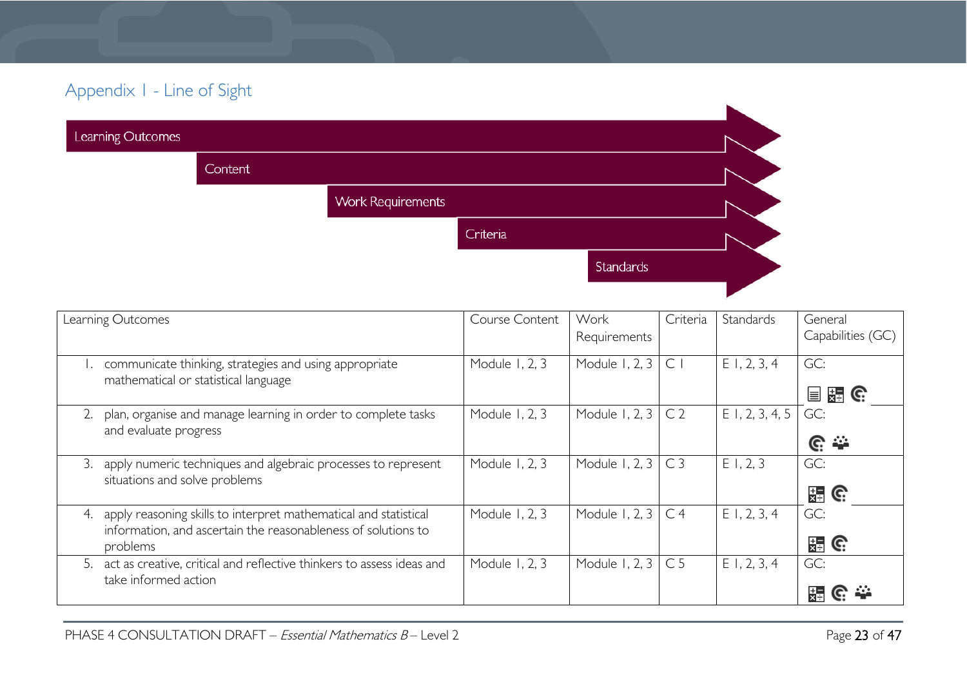# Appendix 1 - Line of Sight

| Learning Outcomes |                |                          |           |  |
|-------------------|----------------|--------------------------|-----------|--|
|                   | <b>Content</b> |                          |           |  |
|                   |                | <b>Work Requirements</b> |           |  |
|                   |                | Criteria                 |           |  |
|                   |                |                          | Standards |  |
|                   |                |                          |           |  |

<span id="page-22-0"></span>

| Learning Outcomes                                                                                                                                   | Course Content | Work<br>Requirements | Criteria       | Standards         | General<br>Capabilities (GC) |
|-----------------------------------------------------------------------------------------------------------------------------------------------------|----------------|----------------------|----------------|-------------------|------------------------------|
| communicate thinking, strategies and using appropriate<br>mathematical or statistical language                                                      | Module 1, 2, 3 | Module 1, 2, 3       | C              | $E$ 1, 2, 3, 4    | GC:<br>装 G<br>冒              |
| plan, organise and manage learning in order to complete tasks<br>2.<br>and evaluate progress                                                        | Module 1, 2, 3 | Module 1, 2, 3       | C <sub>2</sub> | $E$ 1, 2, 3, 4, 5 | GC:<br><u>ଙ୍</u>             |
| apply numeric techniques and algebraic processes to represent<br>3.<br>situations and solve problems                                                | Module 1, 2, 3 | Module 1, 2, 3       | C <sub>3</sub> | E1, 2, 3          | GC:<br><b>語 G</b>            |
| apply reasoning skills to interpret mathematical and statistical<br>4.<br>information, and ascertain the reasonableness of solutions to<br>problems | Module 1, 2, 3 | Module 1, 2, 3       | C <sub>4</sub> | $E$ 1, 2, 3, 4    | GC:<br><b>HEIGE</b>          |
| 5. act as creative, critical and reflective thinkers to assess ideas and<br>take informed action                                                    | Module 1, 2, 3 | Module 1, 2, 3       | C <sub>5</sub> | $E$ 1, 2, 3, 4    | GC:                          |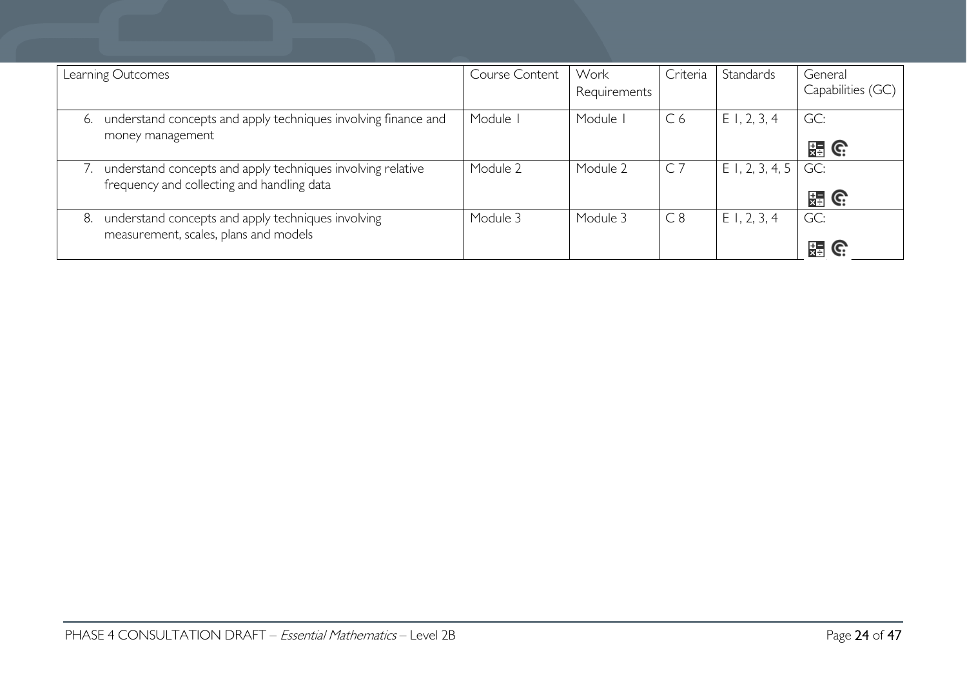| Learning Outcomes                                                                                         | Course Content | Work<br>Requirements | Criteria       | Standards         | General<br>Capabilities (GC) |
|-----------------------------------------------------------------------------------------------------------|----------------|----------------------|----------------|-------------------|------------------------------|
| understand concepts and apply techniques involving finance and<br>6.<br>money management                  | Module I       | Module               | C <sub>6</sub> | $E$ 1, 2, 3, 4    | GC:<br>開 G                   |
| understand concepts and apply techniques involving relative<br>frequency and collecting and handling data | Module 2       | Module 2             | C <sub>7</sub> | $E$ I, 2, 3, 4, 5 | GC:<br>쯣<br>C.               |
| understand concepts and apply techniques involving<br>8.<br>measurement, scales, plans and models         | Module 3       | Module 3             | C8             | $E$ 1, 2, 3, 4    | GC:<br>還<br>C.               |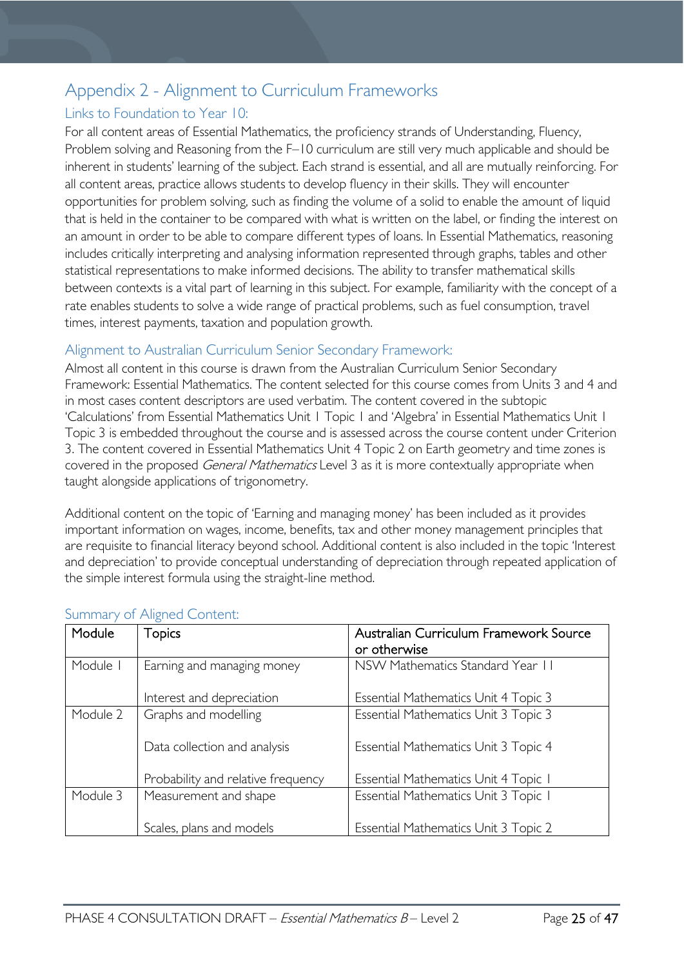# <span id="page-24-0"></span>Appendix 2 - Alignment to Curriculum Frameworks

### <span id="page-24-1"></span>Links to Foundation to Year 10:

For all content areas of Essential Mathematics, the proficiency strands of Understanding, Fluency, Problem solving and Reasoning from the F–10 curriculum are still very much applicable and should be inherent in students' learning of the subject. Each strand is essential, and all are mutually reinforcing. For all content areas, practice allows students to develop fluency in their skills. They will encounter opportunities for problem solving, such as finding the volume of a solid to enable the amount of liquid that is held in the container to be compared with what is written on the label, or finding the interest on an amount in order to be able to compare different types of loans. In Essential Mathematics, reasoning includes critically interpreting and analysing information represented through graphs, tables and other statistical representations to make informed decisions. The ability to transfer mathematical skills between contexts is a vital part of learning in this subject. For example, familiarity with the concept of a rate enables students to solve a wide range of practical problems, such as fuel consumption, travel times, interest payments, taxation and population growth.

### <span id="page-24-2"></span>Alignment to Australian Curriculum Senior Secondary Framework:

Almost all content in this course is drawn from the Australian Curriculum Senior Secondary Framework: Essential Mathematics. The content selected for this course comes from Units 3 and 4 and in most cases content descriptors are used verbatim. The content covered in the subtopic 'Calculations' from Essential Mathematics Unit 1 Topic 1 and 'Algebra' in Essential Mathematics Unit 1 Topic 3 is embedded throughout the course and is assessed across the course content under Criterion 3. The content covered in Essential Mathematics Unit 4 Topic 2 on Earth geometry and time zones is covered in the proposed *General Mathematics* Level 3 as it is more contextually appropriate when taught alongside applications of trigonometry.

Additional content on the topic of 'Earning and managing money' has been included as it provides important information on wages, income, benefits, tax and other money management principles that are requisite to financial literacy beyond school. Additional content is also included in the topic 'Interest and depreciation' to provide conceptual understanding of depreciation through repeated application of the simple interest formula using the straight-line method.

| Module   | <b>Topics</b>                      | Australian Curriculum Framework Source |  |  |
|----------|------------------------------------|----------------------------------------|--|--|
|          |                                    | or otherwise                           |  |  |
| Module I | Earning and managing money         | NSW Mathematics Standard Year 11       |  |  |
|          | Interest and depreciation          | Essential Mathematics Unit 4 Topic 3   |  |  |
| Module 2 | Graphs and modelling               | Essential Mathematics Unit 3 Topic 3   |  |  |
|          | Data collection and analysis       | Essential Mathematics Unit 3 Topic 4   |  |  |
|          | Probability and relative frequency | Essential Mathematics Unit 4 Topic 1   |  |  |
| Module 3 | Measurement and shape              | Essential Mathematics Unit 3 Topic I   |  |  |
|          | Scales, plans and models           | Essential Mathematics Unit 3 Topic 2   |  |  |

### <span id="page-24-3"></span>Summary of Aligned Content: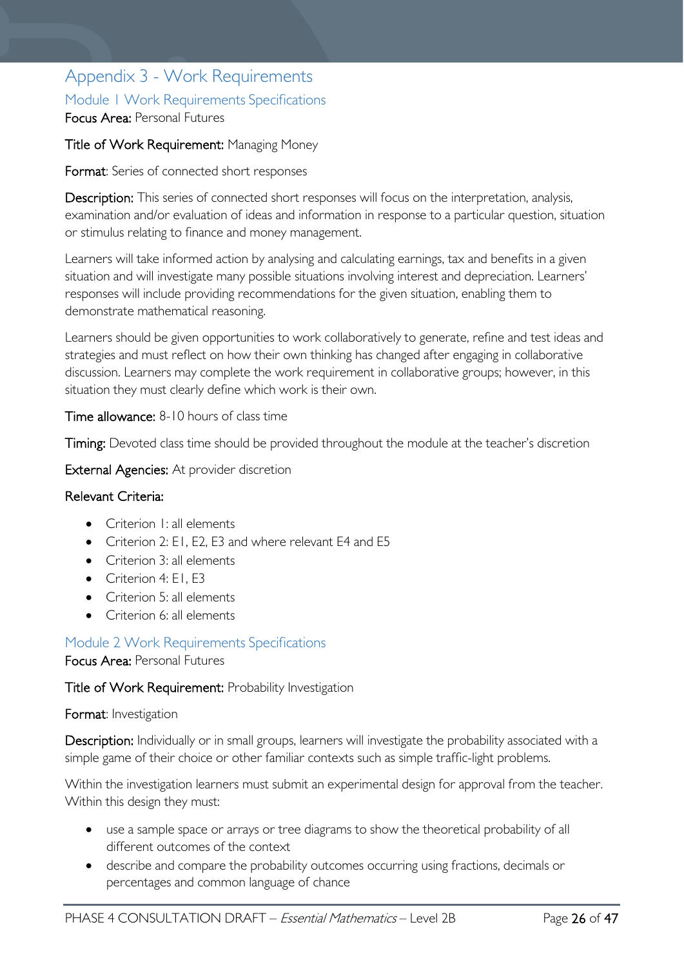# <span id="page-25-1"></span><span id="page-25-0"></span>Appendix 3 - Work Requirements Module 1 Work Requirements Specifications Focus Area: Personal Futures

### Title of Work Requirement: Managing Money

Format: Series of connected short responses

Description: This series of connected short responses will focus on the interpretation, analysis, examination and/or evaluation of ideas and information in response to a particular question, situation or stimulus relating to finance and money management.

Learners will take informed action by analysing and calculating earnings, tax and benefits in a given situation and will investigate many possible situations involving interest and depreciation. Learners' responses will include providing recommendations for the given situation, enabling them to demonstrate mathematical reasoning.

Learners should be given opportunities to work collaboratively to generate, refine and test ideas and strategies and must reflect on how their own thinking has changed after engaging in collaborative discussion. Learners may complete the work requirement in collaborative groups; however, in this situation they must clearly define which work is their own.

Time allowance: 8-10 hours of class time

Timing: Devoted class time should be provided throughout the module at the teacher's discretion

External Agencies: At provider discretion

### Relevant Criteria:

- Criterion I: all elements
- Criterion 2: E1, E2, E3 and where relevant E4 and E5
- Criterion 3: all elements
- Criterion 4: FL F3
- Criterion 5: all elements
- Criterion 6: all elements

### <span id="page-25-2"></span>Module 2 Work Requirements Specifications

### Focus Area: Personal Futures

### Title of Work Requirement: Probability Investigation

### Format: Investigation

Description: Individually or in small groups, learners will investigate the probability associated with a simple game of their choice or other familiar contexts such as simple traffic-light problems.

Within the investigation learners must submit an experimental design for approval from the teacher. Within this design they must:

- use a sample space or arrays or tree diagrams to show the theoretical probability of all different outcomes of the context
- describe and compare the probability outcomes occurring using fractions, decimals or percentages and common language of chance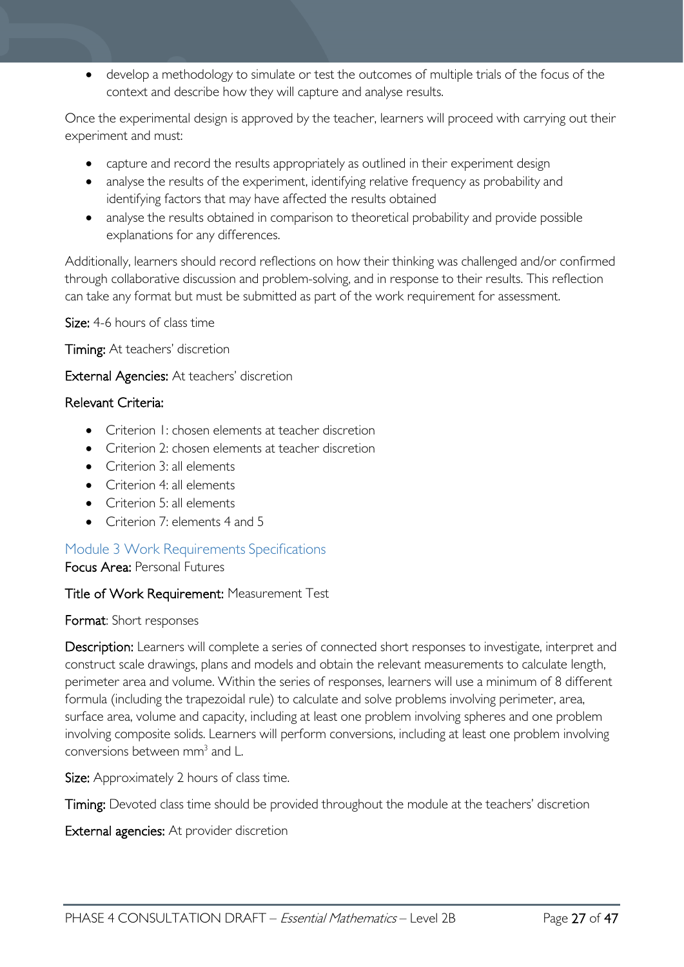• develop a methodology to simulate or test the outcomes of multiple trials of the focus of the context and describe how they will capture and analyse results.

Once the experimental design is approved by the teacher, learners will proceed with carrying out their experiment and must:

- capture and record the results appropriately as outlined in their experiment design
- analyse the results of the experiment, identifying relative frequency as probability and identifying factors that may have affected the results obtained
- analyse the results obtained in comparison to theoretical probability and provide possible explanations for any differences.

Additionally, learners should record reflections on how their thinking was challenged and/or confirmed through collaborative discussion and problem-solving, and in response to their results. This reflection can take any format but must be submitted as part of the work requirement for assessment.

Size: 4-6 hours of class time

Timing: At teachers' discretion

External Agencies: At teachers' discretion

### Relevant Criteria:

- Criterion 1: chosen elements at teacher discretion
- Criterion 2: chosen elements at teacher discretion
- Criterion 3: all elements
- Criterion 4: all elements
- Criterion 5: all elements
- Criterion 7: elements 4 and 5

### <span id="page-26-0"></span>Module 3 Work Requirements Specifications

Focus Area: Personal Futures

### Title of Work Requirement: Measurement Test

Format: Short responses

Description: Learners will complete a series of connected short responses to investigate, interpret and construct scale drawings, plans and models and obtain the relevant measurements to calculate length, perimeter area and volume. Within the series of responses, learners will use a minimum of 8 different formula (including the trapezoidal rule) to calculate and solve problems involving perimeter, area, surface area, volume and capacity, including at least one problem involving spheres and one problem involving composite solids. Learners will perform conversions, including at least one problem involving conversions between mm3 and L.

Size: Approximately 2 hours of class time.

Timing: Devoted class time should be provided throughout the module at the teachers' discretion

External agencies: At provider discretion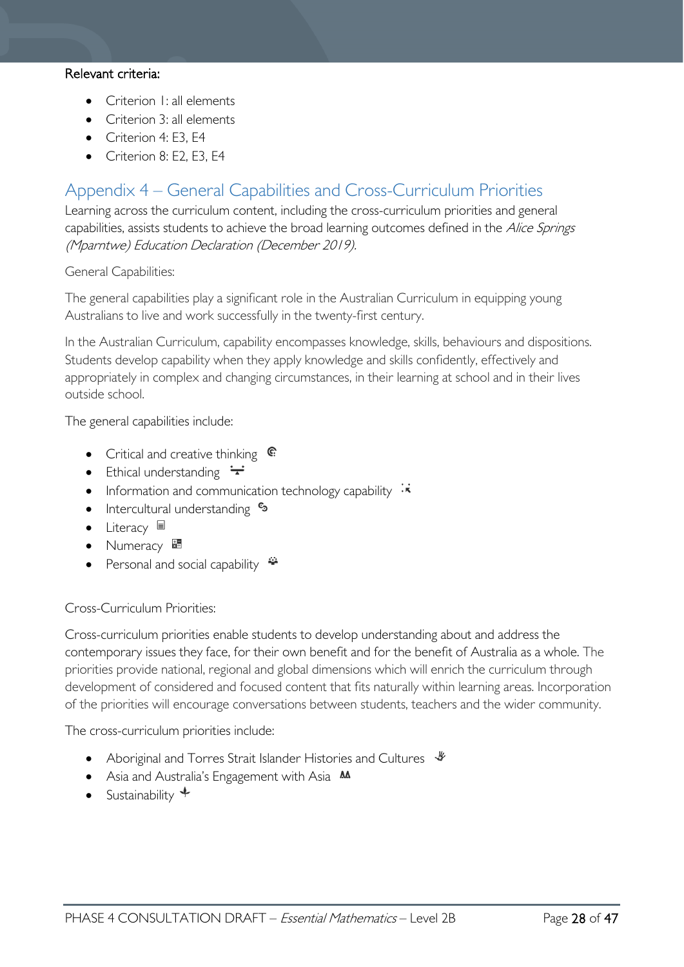### Relevant criteria:

- Criterion I: all elements
- Criterion 3: all elements
- Criterion 4: E3, E4
- Criterion 8: E2, E3, E4

# <span id="page-27-0"></span>Appendix 4 – General Capabilities and Cross-Curriculum Priorities

Learning across the curriculum content, including the cross-curriculum priorities and general capabilities, assists students to achieve the broad learning outcomes defined in the Alice Springs (Mparntwe) Education Declaration (December 2019).

General Capabilities:

The general capabilities play a significant role in the Australian Curriculum in equipping young Australians to live and work successfully in the twenty-first century.

In the Australian Curriculum, capability encompasses knowledge, skills, behaviours and dispositions. Students develop capability when they apply knowledge and skills confidently, effectively and appropriately in complex and changing circumstances, in their learning at school and in their lives outside school.

The general capabilities include:

- Critical and creative thinking  $\mathbb{C}$
- Ethical understanding  $\div$
- Information and communication technology capability  $\cdot \cdot$
- Intercultural understanding  $\frac{c_3}{ }$
- Literacy  $\blacksquare$
- Numeracy  $\overline{\mathbf{z}}$
- **Personal and social capability**

Cross-Curriculum Priorities:

Cross-curriculum priorities enable students to develop understanding about and address the contemporary issues they face, for their own benefit and for the benefit of Australia as a whole. The priorities provide national, regional and global dimensions which will enrich the curriculum through development of considered and focused content that fits naturally within learning areas. Incorporation of the priorities will encourage conversations between students, teachers and the wider community.

The cross-curriculum priorities include:

- Aboriginal and Torres Strait Islander Histories and Cultures  $\frac{1}{2}$
- Asia and Australia's Engagement with Asia AA
- Sustainability  $\triangleleft$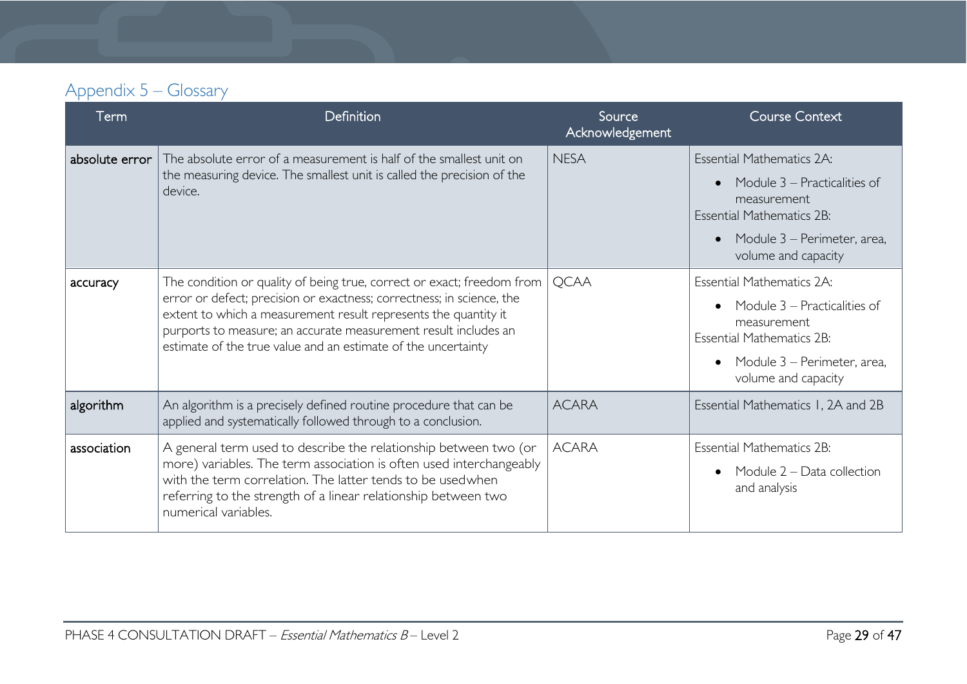# Appendix 5 – Glossary

<span id="page-28-0"></span>

| Term           | Definition                                                                                                                                                                                                                                                                                                                                             | Source<br>Acknowledgement | <b>Course Context</b>                                                                                                                                                                  |
|----------------|--------------------------------------------------------------------------------------------------------------------------------------------------------------------------------------------------------------------------------------------------------------------------------------------------------------------------------------------------------|---------------------------|----------------------------------------------------------------------------------------------------------------------------------------------------------------------------------------|
| absolute error | The absolute error of a measurement is half of the smallest unit on<br>the measuring device. The smallest unit is called the precision of the<br>device.                                                                                                                                                                                               | <b>NESA</b>               | <b>Essential Mathematics 2A:</b><br>Module 3 – Practicalities of<br>measurement<br><b>Essential Mathematics 2B:</b><br>Module 3 – Perimeter, area,<br>$\bullet$<br>volume and capacity |
| accuracy       | The condition or quality of being true, correct or exact; freedom from<br>error or defect; precision or exactness; correctness; in science, the<br>extent to which a measurement result represents the quantity it<br>purports to measure; an accurate measurement result includes an<br>estimate of the true value and an estimate of the uncertainty | <b>QCAA</b>               | <b>Essential Mathematics 2A:</b><br>Module 3 – Practicalities of<br>measurement<br><b>Essential Mathematics 2B:</b><br>Module 3 – Perimeter, area,<br>volume and capacity              |
| algorithm      | An algorithm is a precisely defined routine procedure that can be<br>applied and systematically followed through to a conclusion.                                                                                                                                                                                                                      | <b>ACARA</b>              | Essential Mathematics 1, 2A and 2B                                                                                                                                                     |
| association    | A general term used to describe the relationship between two (or<br>more) variables. The term association is often used interchangeably<br>with the term correlation. The latter tends to be usedwhen<br>referring to the strength of a linear relationship between two<br>numerical variables.                                                        | <b>ACARA</b>              | <b>Essential Mathematics 2B:</b><br>Module 2 - Data collection<br>and analysis                                                                                                         |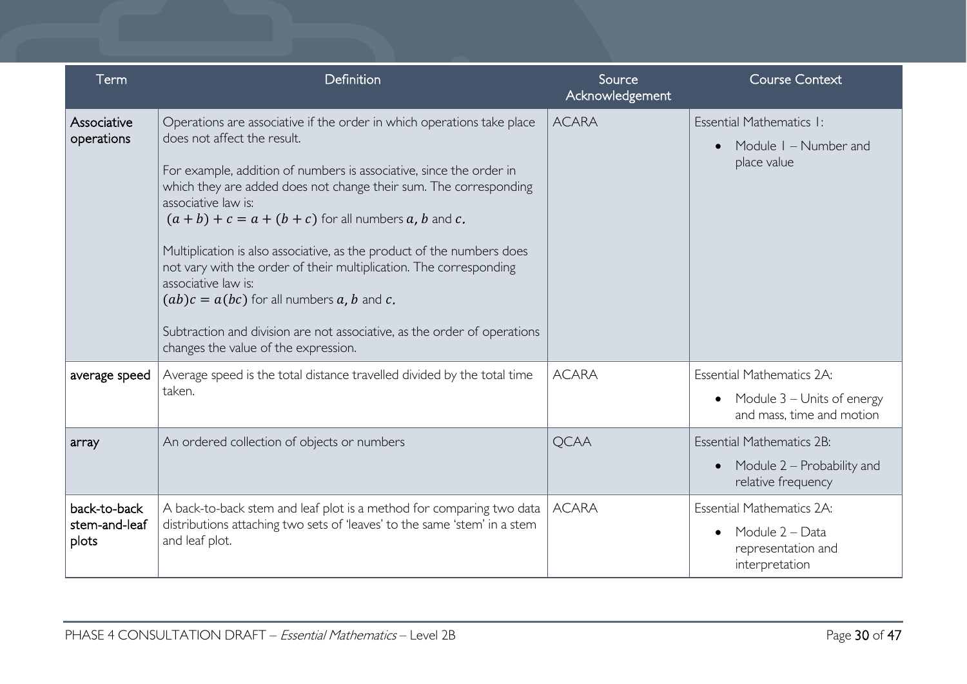| Term                                   | Definition                                                                                                                                                                                                                                                                                                                                                                                                                                                                                                                                                                                                                                                                    | Source<br>Acknowledgement | <b>Course Context</b>                                                                                    |
|----------------------------------------|-------------------------------------------------------------------------------------------------------------------------------------------------------------------------------------------------------------------------------------------------------------------------------------------------------------------------------------------------------------------------------------------------------------------------------------------------------------------------------------------------------------------------------------------------------------------------------------------------------------------------------------------------------------------------------|---------------------------|----------------------------------------------------------------------------------------------------------|
| Associative<br>operations              | Operations are associative if the order in which operations take place<br>does not affect the result.<br>For example, addition of numbers is associative, since the order in<br>which they are added does not change their sum. The corresponding<br>associative law is:<br>$(a + b) + c = a + (b + c)$ for all numbers a, b and c.<br>Multiplication is also associative, as the product of the numbers does<br>not vary with the order of their multiplication. The corresponding<br>associative law is:<br>$(ab)c = a(bc)$ for all numbers a, b and c.<br>Subtraction and division are not associative, as the order of operations<br>changes the value of the expression. | <b>ACARA</b>              | Essential Mathematics I:<br>Module I - Number and<br>place value                                         |
| average speed                          | Average speed is the total distance travelled divided by the total time<br>taken.                                                                                                                                                                                                                                                                                                                                                                                                                                                                                                                                                                                             | <b>ACARA</b>              | <b>Essential Mathematics 2A:</b><br>Module 3 – Units of energy<br>and mass, time and motion              |
| array                                  | An ordered collection of objects or numbers                                                                                                                                                                                                                                                                                                                                                                                                                                                                                                                                                                                                                                   | <b>QCAA</b>               | <b>Essential Mathematics 2B:</b><br>Module 2 – Probability and<br>$\bullet$<br>relative frequency        |
| back-to-back<br>stem-and-leaf<br>plots | A back-to-back stem and leaf plot is a method for comparing two data<br>distributions attaching two sets of 'leaves' to the same 'stem' in a stem<br>and leaf plot.                                                                                                                                                                                                                                                                                                                                                                                                                                                                                                           | <b>ACARA</b>              | <b>Essential Mathematics 2A:</b><br>Module 2 – Data<br>$\bullet$<br>representation and<br>interpretation |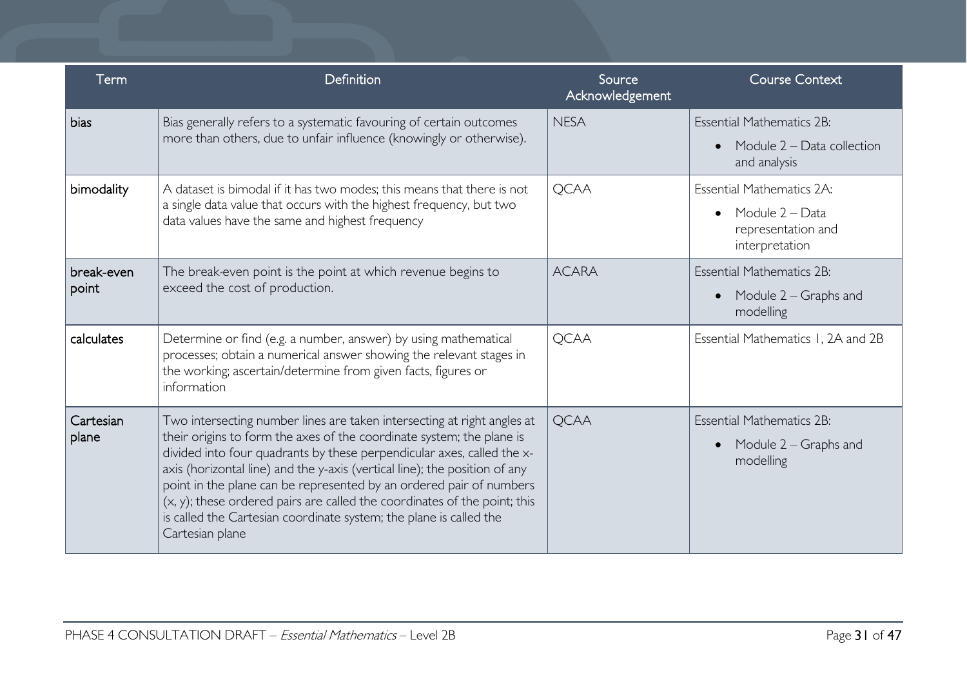| Term                | Definition                                                                                                                                                                                                                                                                                                                                                                                                                                                                                                                                            | Source<br>Acknowledgement | <b>Course Context</b>                                                                                    |
|---------------------|-------------------------------------------------------------------------------------------------------------------------------------------------------------------------------------------------------------------------------------------------------------------------------------------------------------------------------------------------------------------------------------------------------------------------------------------------------------------------------------------------------------------------------------------------------|---------------------------|----------------------------------------------------------------------------------------------------------|
| bias                | Bias generally refers to a systematic favouring of certain outcomes<br>more than others, due to unfair influence (knowingly or otherwise).                                                                                                                                                                                                                                                                                                                                                                                                            | <b>NESA</b>               | <b>Essential Mathematics 2B:</b><br>Module $2 - Data$ collection<br>$\bullet$<br>and analysis            |
| bimodality          | A dataset is bimodal if it has two modes; this means that there is not<br>a single data value that occurs with the highest frequency, but two<br>data values have the same and highest frequency                                                                                                                                                                                                                                                                                                                                                      | <b>QCAA</b>               | <b>Essential Mathematics 2A:</b><br>Module 2 - Data<br>$\bullet$<br>representation and<br>interpretation |
| break-even<br>point | The break-even point is the point at which revenue begins to<br>exceed the cost of production.                                                                                                                                                                                                                                                                                                                                                                                                                                                        | <b>ACARA</b>              | <b>Essential Mathematics 2B:</b><br>Module 2 – Graphs and<br>$\bullet$<br>modelling                      |
| calculates          | Determine or find (e.g. a number, answer) by using mathematical<br>processes; obtain a numerical answer showing the relevant stages in<br>the working; ascertain/determine from given facts, figures or<br>information                                                                                                                                                                                                                                                                                                                                | <b>QCAA</b>               | Essential Mathematics 1, 2A and 2B                                                                       |
| Cartesian<br>plane  | Two intersecting number lines are taken intersecting at right angles at<br>their origins to form the axes of the coordinate system; the plane is<br>divided into four quadrants by these perpendicular axes, called the x-<br>axis (horizontal line) and the y-axis (vertical line); the position of any<br>point in the plane can be represented by an ordered pair of numbers<br>(x, y); these ordered pairs are called the coordinates of the point; this<br>is called the Cartesian coordinate system; the plane is called the<br>Cartesian plane | <b>QCAA</b>               | <b>Essential Mathematics 2B:</b><br>Module 2 – Graphs and<br>$\bullet$<br>modelling                      |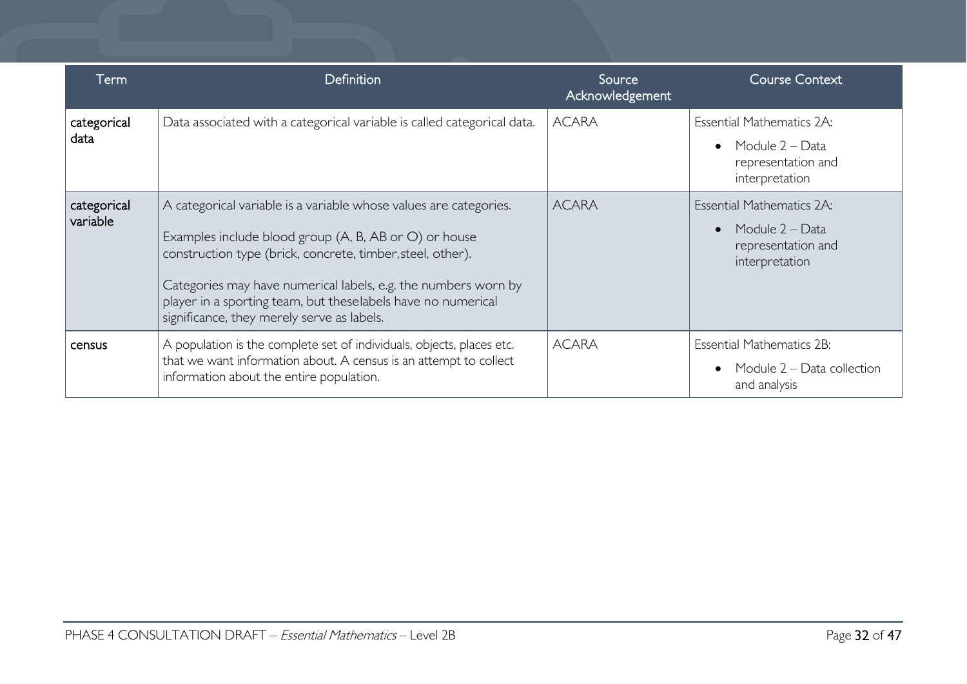| Term                    | Definition                                                                                                                                                                                                                                                                                                                                                               | Source<br>Acknowledgement | Course Context                                                                                           |
|-------------------------|--------------------------------------------------------------------------------------------------------------------------------------------------------------------------------------------------------------------------------------------------------------------------------------------------------------------------------------------------------------------------|---------------------------|----------------------------------------------------------------------------------------------------------|
| categorical<br>data     | Data associated with a categorical variable is called categorical data.                                                                                                                                                                                                                                                                                                  | <b>ACARA</b>              | Essential Mathematics 2A:<br>Module 2 – Data<br>$\bullet$<br>representation and<br>interpretation        |
| categorical<br>variable | A categorical variable is a variable whose values are categories.<br>Examples include blood group (A, B, AB or O) or house<br>construction type (brick, concrete, timber, steel, other).<br>Categories may have numerical labels, e.g. the numbers worn by<br>player in a sporting team, but theselabels have no numerical<br>significance, they merely serve as labels. | <b>ACARA</b>              | <b>Essential Mathematics 2A:</b><br>Module 2 - Data<br>$\bullet$<br>representation and<br>interpretation |
| census                  | A population is the complete set of individuals, objects, places etc.<br>that we want information about. A census is an attempt to collect<br>information about the entire population.                                                                                                                                                                                   | <b>ACARA</b>              | <b>Essential Mathematics 2B:</b><br>Module 2 – Data collection<br>and analysis                           |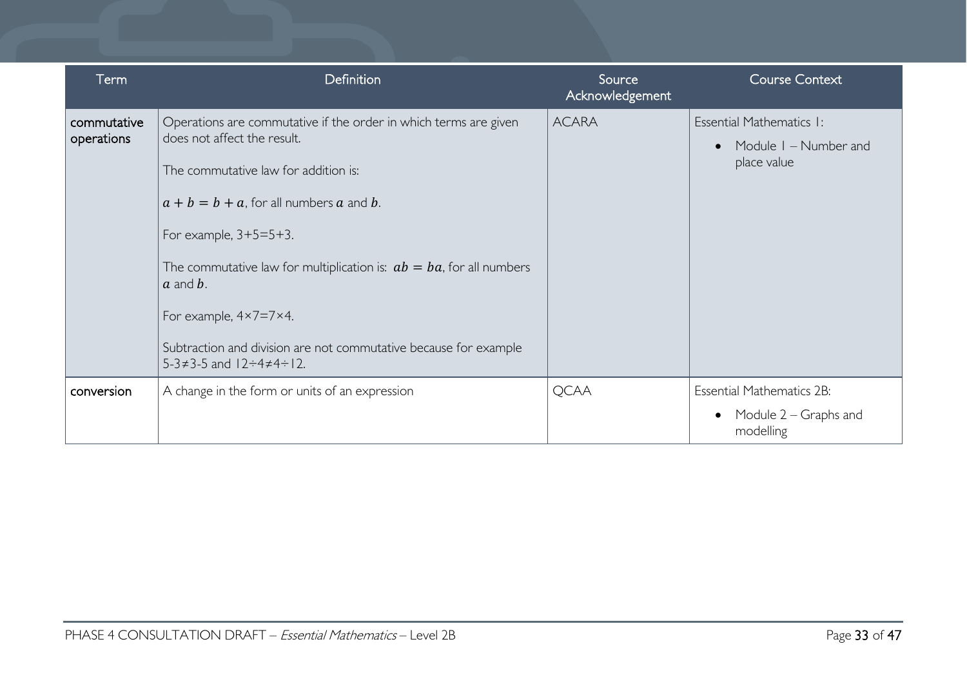| Term                      | <b>Definition</b>                                                                                                                                                                                                                                                                                                                                                                                                                                                               | Source<br>Acknowledgement | <b>Course Context</b>                                                  |
|---------------------------|---------------------------------------------------------------------------------------------------------------------------------------------------------------------------------------------------------------------------------------------------------------------------------------------------------------------------------------------------------------------------------------------------------------------------------------------------------------------------------|---------------------------|------------------------------------------------------------------------|
| commutative<br>operations | Operations are commutative if the order in which terms are given<br>does not affect the result.<br>The commutative law for addition is:<br>$a + b = b + a$ , for all numbers a and b.<br>For example, $3+5=5+3$ .<br>The commutative law for multiplication is: $ab = ba$ , for all numbers<br>$a$ and $b$ .<br>For example, $4 \times 7 = 7 \times 4$ .<br>Subtraction and division are not commutative because for example<br>$5-3 \neq 3-5$ and $12 \div 4 \neq 4 \div 12$ . | <b>ACARA</b>              | Essential Mathematics I:<br>Module I - Number and<br>place value       |
| conversion                | A change in the form or units of an expression                                                                                                                                                                                                                                                                                                                                                                                                                                  | <b>QCAA</b>               | <b>Essential Mathematics 2B:</b><br>Module 2 – Graphs and<br>modelling |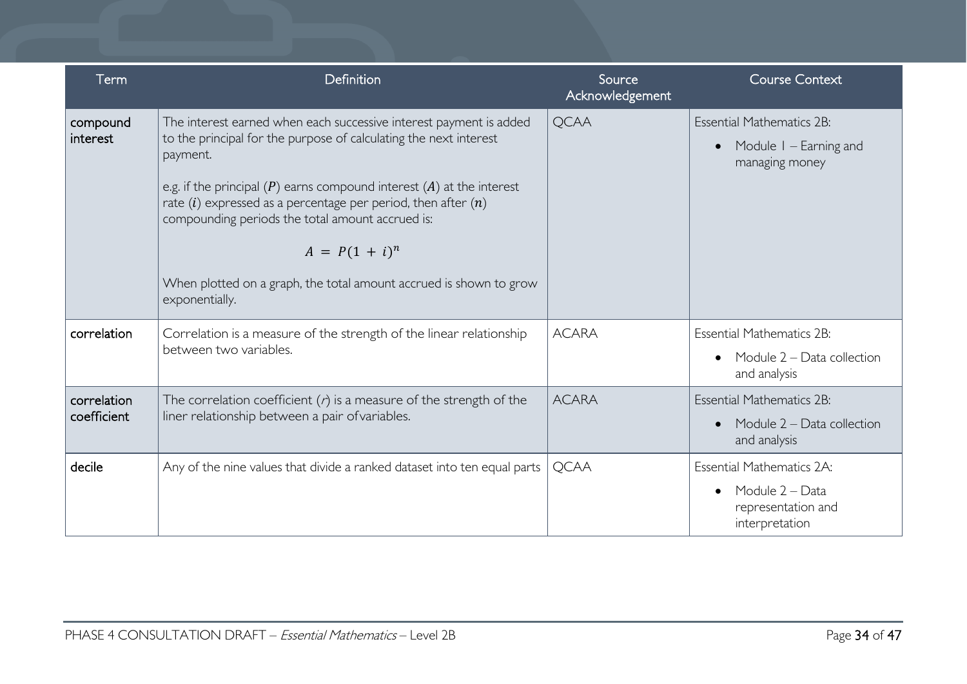| Term                       | Definition                                                                                                                                                                                                                                                                                                                                                                                                                                                            | Source<br>Acknowledgement | <b>Course Context</b>                                                                                    |
|----------------------------|-----------------------------------------------------------------------------------------------------------------------------------------------------------------------------------------------------------------------------------------------------------------------------------------------------------------------------------------------------------------------------------------------------------------------------------------------------------------------|---------------------------|----------------------------------------------------------------------------------------------------------|
| compound<br>interest       | The interest earned when each successive interest payment is added<br>to the principal for the purpose of calculating the next interest<br>payment.<br>e.g. if the principal $(P)$ earns compound interest $(A)$ at the interest<br>rate $(i)$ expressed as a percentage per period, then after $(n)$<br>compounding periods the total amount accrued is:<br>$A = P(1 + i)^n$<br>When plotted on a graph, the total amount accrued is shown to grow<br>exponentially. | <b>QCAA</b>               | <b>Essential Mathematics 2B:</b><br>Module I – Earning and<br>$\bullet$<br>managing money                |
| correlation                | Correlation is a measure of the strength of the linear relationship<br>between two variables.                                                                                                                                                                                                                                                                                                                                                                         | <b>ACARA</b>              | <b>Essential Mathematics 2B:</b><br>Module 2 - Data collection<br>$\bullet$<br>and analysis              |
| correlation<br>coefficient | The correlation coefficient $(r)$ is a measure of the strength of the<br>liner relationship between a pair of variables.                                                                                                                                                                                                                                                                                                                                              | <b>ACARA</b>              | <b>Essential Mathematics 2B:</b><br>Module $2 - Data$ collection<br>$\bullet$<br>and analysis            |
| decile                     | Any of the nine values that divide a ranked dataset into ten equal parts                                                                                                                                                                                                                                                                                                                                                                                              | <b>QCAA</b>               | <b>Essential Mathematics 2A:</b><br>Module 2 - Data<br>$\bullet$<br>representation and<br>interpretation |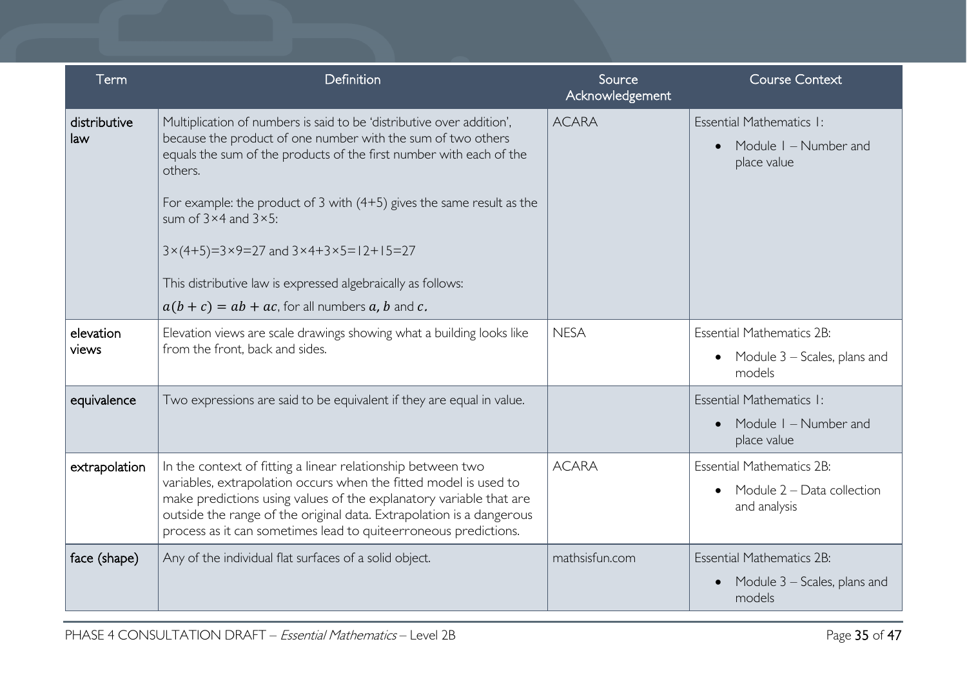| Term                | Definition                                                                                                                                                                                                                                                                                                                                                                                                                                                                                                                                            | Source<br>Acknowledgement | <b>Course Context</b>                                                                   |
|---------------------|-------------------------------------------------------------------------------------------------------------------------------------------------------------------------------------------------------------------------------------------------------------------------------------------------------------------------------------------------------------------------------------------------------------------------------------------------------------------------------------------------------------------------------------------------------|---------------------------|-----------------------------------------------------------------------------------------|
| distributive<br>law | Multiplication of numbers is said to be 'distributive over addition',<br>because the product of one number with the sum of two others<br>equals the sum of the products of the first number with each of the<br>others.<br>For example: the product of 3 with $(4+5)$ gives the same result as the<br>sum of $3 \times 4$ and $3 \times 5$ :<br>$3 \times (4+5) = 3 \times 9 = 27$ and $3 \times 4 + 3 \times 5 = 12 + 15 = 27$<br>This distributive law is expressed algebraically as follows:<br>$a(b + c) = ab + ac$ , for all numbers a, b and c. | <b>ACARA</b>              | Essential Mathematics I:<br>Module I – Number and<br>$\bullet$<br>place value           |
| elevation<br>views  | Elevation views are scale drawings showing what a building looks like<br>from the front, back and sides.                                                                                                                                                                                                                                                                                                                                                                                                                                              | <b>NESA</b>               | <b>Essential Mathematics 2B:</b><br>• Module $3$ – Scales, plans and<br>models          |
| equivalence         | Two expressions are said to be equivalent if they are equal in value.                                                                                                                                                                                                                                                                                                                                                                                                                                                                                 |                           | Essential Mathematics I:<br>Module I – Number and<br>$\bullet$<br>place value           |
| extrapolation       | In the context of fitting a linear relationship between two<br>variables, extrapolation occurs when the fitted model is used to<br>make predictions using values of the explanatory variable that are<br>outside the range of the original data. Extrapolation is a dangerous<br>process as it can sometimes lead to quiteerroneous predictions.                                                                                                                                                                                                      | <b>ACARA</b>              | <b>Essential Mathematics 2B:</b><br>Module 2 – Data collection<br>and analysis          |
| face (shape)        | Any of the individual flat surfaces of a solid object.                                                                                                                                                                                                                                                                                                                                                                                                                                                                                                | mathsisfun.com            | <b>Essential Mathematics 2B:</b><br>Module 3 – Scales, plans and<br>$\bullet$<br>models |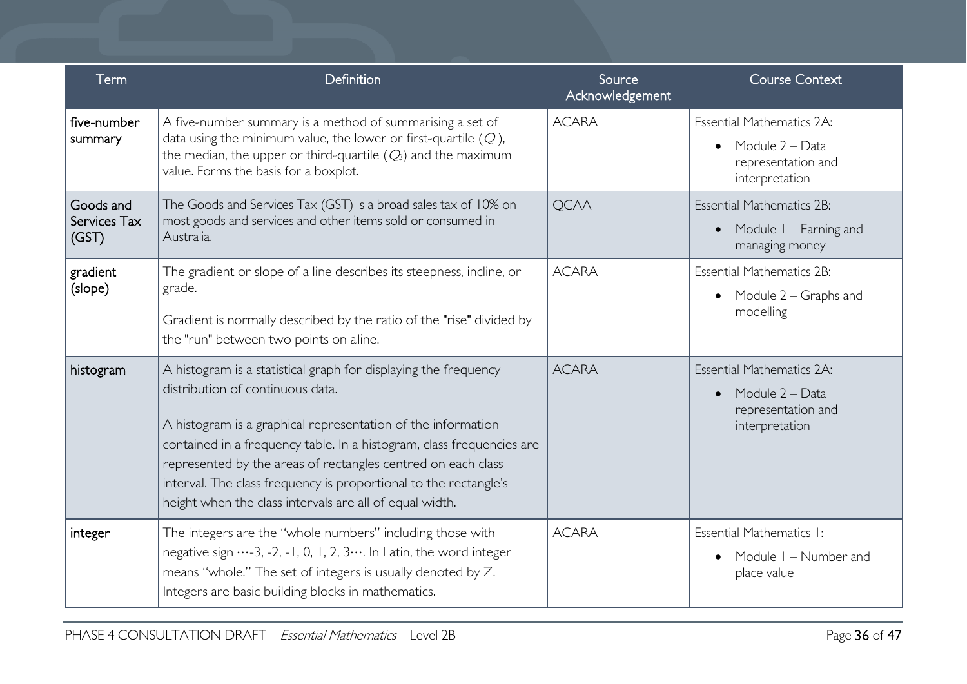| Term                               | Definition                                                                                                                                                                                                                                                                                                                                                                                                                                  | Source<br>Acknowledgement | <b>Course Context</b>                                                                                    |
|------------------------------------|---------------------------------------------------------------------------------------------------------------------------------------------------------------------------------------------------------------------------------------------------------------------------------------------------------------------------------------------------------------------------------------------------------------------------------------------|---------------------------|----------------------------------------------------------------------------------------------------------|
| five-number<br>summary             | A five-number summary is a method of summarising a set of<br>data using the minimum value, the lower or first-quartile $(Q1)$ ,<br>the median, the upper or third-quartile $(Q_3)$ and the maximum<br>value. Forms the basis for a boxplot.                                                                                                                                                                                                 | <b>ACARA</b>              | <b>Essential Mathematics 2A:</b><br>Module 2 - Data<br>$\bullet$<br>representation and<br>interpretation |
| Goods and<br>Services Tax<br>(GST) | The Goods and Services Tax (GST) is a broad sales tax of 10% on<br>most goods and services and other items sold or consumed in<br>Australia.                                                                                                                                                                                                                                                                                                | <b>QCAA</b>               | <b>Essential Mathematics 2B:</b><br>Module I – Earning and<br>$\bullet$<br>managing money                |
| gradient<br>(slope)                | The gradient or slope of a line describes its steepness, incline, or<br>grade.<br>Gradient is normally described by the ratio of the "rise" divided by<br>the "run" between two points on aline.                                                                                                                                                                                                                                            | <b>ACARA</b>              | <b>Essential Mathematics 2B:</b><br>Module 2 – Graphs and<br>$\bullet$<br>modelling                      |
| histogram                          | A histogram is a statistical graph for displaying the frequency<br>distribution of continuous data.<br>A histogram is a graphical representation of the information<br>contained in a frequency table. In a histogram, class frequencies are<br>represented by the areas of rectangles centred on each class<br>interval. The class frequency is proportional to the rectangle's<br>height when the class intervals are all of equal width. | <b>ACARA</b>              | <b>Essential Mathematics 2A:</b><br>Module 2 - Data<br>$\bullet$<br>representation and<br>interpretation |
| integer                            | The integers are the "whole numbers" including those with<br>negative sign -3, -2, -1, 0, 1, 2, 3 In Latin, the word integer<br>means "whole." The set of integers is usually denoted by Z.<br>Integers are basic building blocks in mathematics.                                                                                                                                                                                           | <b>ACARA</b>              | Essential Mathematics I:<br>Module I - Number and<br>place value                                         |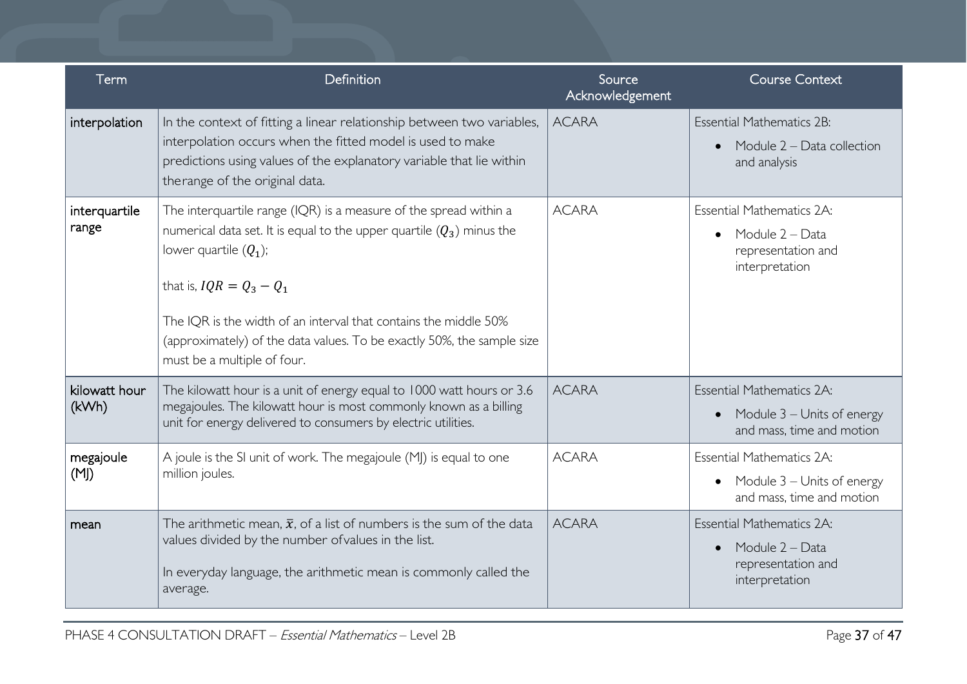| Term                   | Definition                                                                                                                                                                                                                                                                                                                                                                          | Source<br>Acknowledgement | <b>Course Context</b>                                                                                    |
|------------------------|-------------------------------------------------------------------------------------------------------------------------------------------------------------------------------------------------------------------------------------------------------------------------------------------------------------------------------------------------------------------------------------|---------------------------|----------------------------------------------------------------------------------------------------------|
| interpolation          | In the context of fitting a linear relationship between two variables,<br>interpolation occurs when the fitted model is used to make<br>predictions using values of the explanatory variable that lie within<br>therange of the original data.                                                                                                                                      | <b>ACARA</b>              | <b>Essential Mathematics 2B:</b><br>Module 2 – Data collection<br>$\bullet$<br>and analysis              |
| interquartile<br>range | The interquartile range (IQR) is a measure of the spread within a<br>numerical data set. It is equal to the upper quartile $(Q_3)$ minus the<br>lower quartile $(Q_1)$ ;<br>that is, $IQR = Q_3 - Q_1$<br>The IQR is the width of an interval that contains the middle 50%<br>(approximately) of the data values. To be exactly 50%, the sample size<br>must be a multiple of four. | <b>ACARA</b>              | <b>Essential Mathematics 2A:</b><br>Module 2 - Data<br>$\bullet$<br>representation and<br>interpretation |
| kilowatt hour<br>(kWh) | The kilowatt hour is a unit of energy equal to 1000 watt hours or 3.6<br>megajoules. The kilowatt hour is most commonly known as a billing<br>unit for energy delivered to consumers by electric utilities.                                                                                                                                                                         | <b>ACARA</b>              | <b>Essential Mathematics 2A:</b><br>Module 3 – Units of energy<br>$\bullet$<br>and mass, time and motion |
| megajoule<br>(M)       | A joule is the SI unit of work. The megajoule (MJ) is equal to one<br>million joules.                                                                                                                                                                                                                                                                                               | <b>ACARA</b>              | <b>Essential Mathematics 2A:</b><br>• Module $3$ – Units of energy<br>and mass, time and motion          |
| mean                   | The arithmetic mean, $\bar{x}$ , of a list of numbers is the sum of the data<br>values divided by the number of values in the list.<br>In everyday language, the arithmetic mean is commonly called the<br>average.                                                                                                                                                                 | <b>ACARA</b>              | <b>Essential Mathematics 2A:</b><br>Module 2 - Data<br>$\bullet$<br>representation and<br>interpretation |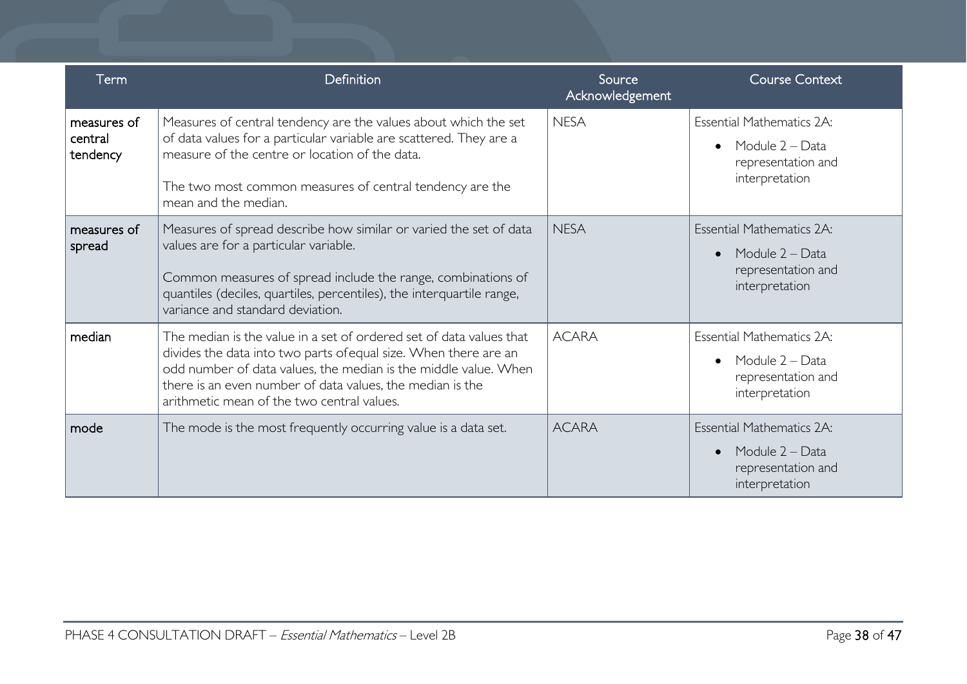| Term                               | Definition                                                                                                                                                                                                                                                                                                            | Source<br>Acknowledgement | <b>Course Context</b>                                                                                    |
|------------------------------------|-----------------------------------------------------------------------------------------------------------------------------------------------------------------------------------------------------------------------------------------------------------------------------------------------------------------------|---------------------------|----------------------------------------------------------------------------------------------------------|
| measures of<br>central<br>tendency | Measures of central tendency are the values about which the set<br>of data values for a particular variable are scattered. They are a<br>measure of the centre or location of the data.<br>The two most common measures of central tendency are the<br>mean and the median.                                           | <b>NESA</b>               | <b>Essential Mathematics 2A:</b><br>Module 2 – Data<br>$\bullet$<br>representation and<br>interpretation |
| measures of<br>spread              | Measures of spread describe how similar or varied the set of data<br>values are for a particular variable.<br>Common measures of spread include the range, combinations of<br>quantiles (deciles, quartiles, percentiles), the interquartile range,<br>variance and standard deviation.                               | <b>NESA</b>               | <b>Essential Mathematics 2A:</b><br>Module 2 - Data<br>$\bullet$<br>representation and<br>interpretation |
| median                             | The median is the value in a set of ordered set of data values that<br>divides the data into two parts of equal size. When there are an<br>odd number of data values, the median is the middle value. When<br>there is an even number of data values, the median is the<br>arithmetic mean of the two central values. | <b>ACARA</b>              | <b>Essential Mathematics 2A:</b><br>Module 2 – Data<br>$\bullet$<br>representation and<br>interpretation |
| mode                               | The mode is the most frequently occurring value is a data set.                                                                                                                                                                                                                                                        | <b>ACARA</b>              | <b>Essential Mathematics 2A:</b><br>Module 2 – Data<br>$\bullet$<br>representation and<br>interpretation |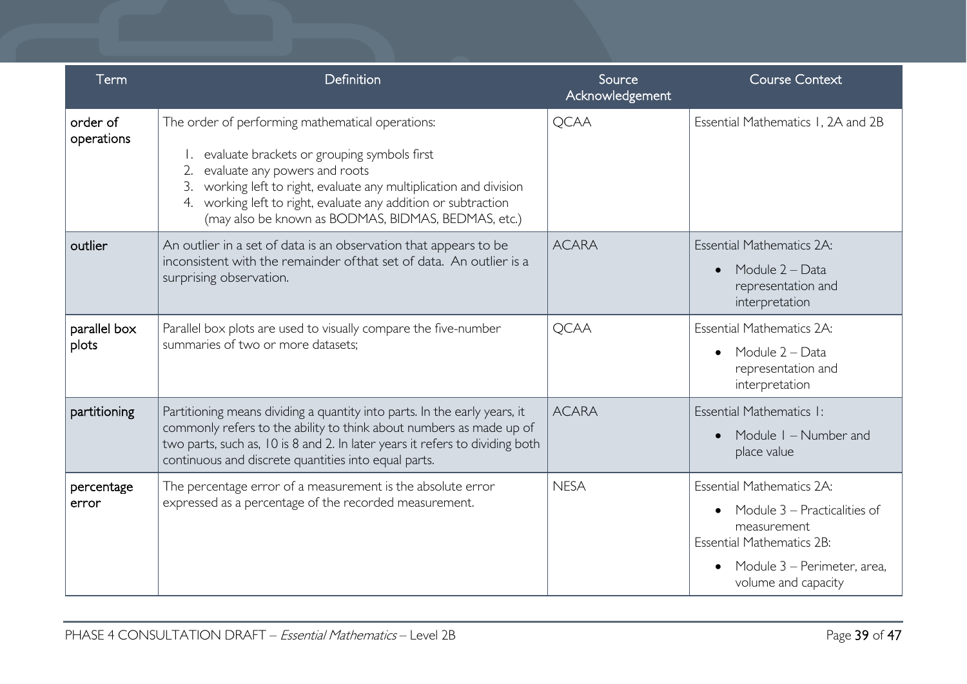| Term                   | Definition                                                                                                                                                                                                                                                                                                                   | Source<br>Acknowledgement | <b>Course Context</b>                                                                                                                                                                               |
|------------------------|------------------------------------------------------------------------------------------------------------------------------------------------------------------------------------------------------------------------------------------------------------------------------------------------------------------------------|---------------------------|-----------------------------------------------------------------------------------------------------------------------------------------------------------------------------------------------------|
| order of<br>operations | The order of performing mathematical operations:<br>evaluate brackets or grouping symbols first<br>2. evaluate any powers and roots<br>working left to right, evaluate any multiplication and division<br>working left to right, evaluate any addition or subtraction<br>(may also be known as BODMAS, BIDMAS, BEDMAS, etc.) | <b>QCAA</b>               | Essential Mathematics 1, 2A and 2B                                                                                                                                                                  |
| outlier                | An outlier in a set of data is an observation that appears to be<br>inconsistent with the remainder of that set of data. An outlier is a<br>surprising observation.                                                                                                                                                          | <b>ACARA</b>              | <b>Essential Mathematics 2A:</b><br>Module 2 - Data<br>$\bullet$<br>representation and<br>interpretation                                                                                            |
| parallel box<br>plots  | Parallel box plots are used to visually compare the five-number<br>summaries of two or more datasets;                                                                                                                                                                                                                        | <b>QCAA</b>               | <b>Essential Mathematics 2A:</b><br>Module 2 - Data<br>$\bullet$<br>representation and<br>interpretation                                                                                            |
| partitioning           | Partitioning means dividing a quantity into parts. In the early years, it<br>commonly refers to the ability to think about numbers as made up of<br>two parts, such as, 10 is 8 and 2. In later years it refers to dividing both<br>continuous and discrete quantities into equal parts.                                     | <b>ACARA</b>              | Essential Mathematics I:<br>Module I - Number and<br>place value                                                                                                                                    |
| percentage<br>error    | The percentage error of a measurement is the absolute error<br>expressed as a percentage of the recorded measurement.                                                                                                                                                                                                        | <b>NESA</b>               | <b>Essential Mathematics 2A:</b><br>Module 3 – Practicalities of<br>$\bullet$<br>measurement<br><b>Essential Mathematics 2B:</b><br>Module 3 – Perimeter, area,<br>$\bullet$<br>volume and capacity |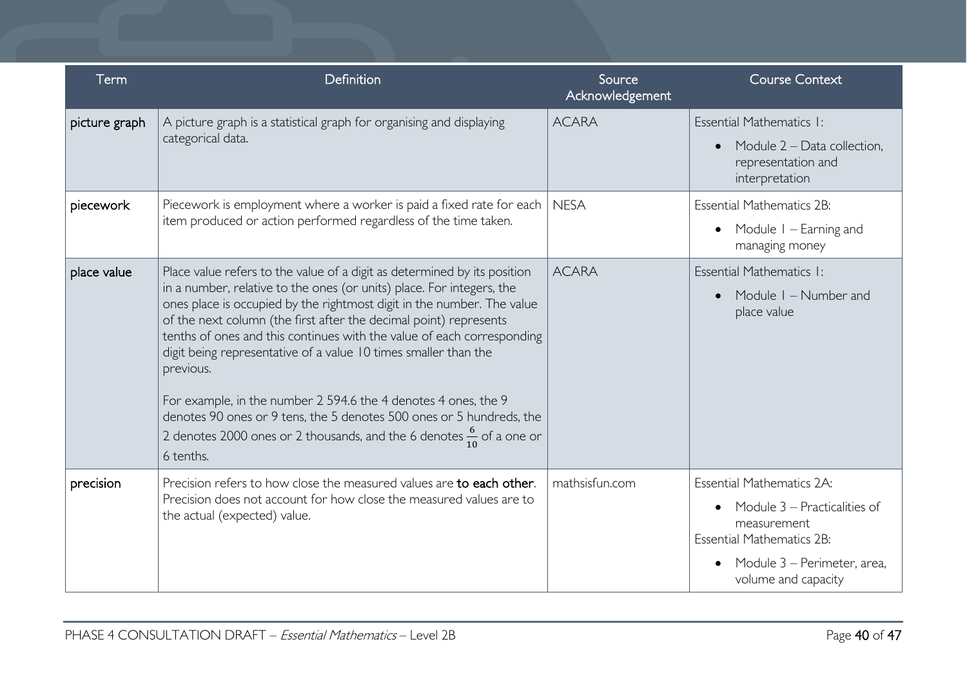| Term          | Definition                                                                                                                                                                                                                                                                                                                                                                                                                                                                                                                                                                                                                                                                                            | Source<br>Acknowledgement | <b>Course Context</b>                                                                                                                                                                               |
|---------------|-------------------------------------------------------------------------------------------------------------------------------------------------------------------------------------------------------------------------------------------------------------------------------------------------------------------------------------------------------------------------------------------------------------------------------------------------------------------------------------------------------------------------------------------------------------------------------------------------------------------------------------------------------------------------------------------------------|---------------------------|-----------------------------------------------------------------------------------------------------------------------------------------------------------------------------------------------------|
| picture graph | A picture graph is a statistical graph for organising and displaying<br>categorical data.                                                                                                                                                                                                                                                                                                                                                                                                                                                                                                                                                                                                             | <b>ACARA</b>              | Essential Mathematics I:<br>Module $2$ – Data collection,<br>$\bullet$<br>representation and<br>interpretation                                                                                      |
| piecework     | Piecework is employment where a worker is paid a fixed rate for each<br>item produced or action performed regardless of the time taken.                                                                                                                                                                                                                                                                                                                                                                                                                                                                                                                                                               | <b>NESA</b>               | <b>Essential Mathematics 2B:</b><br>Module I – Earning and<br>$\bullet$<br>managing money                                                                                                           |
| place value   | Place value refers to the value of a digit as determined by its position<br>in a number, relative to the ones (or units) place. For integers, the<br>ones place is occupied by the rightmost digit in the number. The value<br>of the next column (the first after the decimal point) represents<br>tenths of ones and this continues with the value of each corresponding<br>digit being representative of a value 10 times smaller than the<br>previous.<br>For example, in the number 2 594.6 the 4 denotes 4 ones, the 9<br>denotes 90 ones or 9 tens, the 5 denotes 500 ones or 5 hundreds, the<br>2 denotes 2000 ones or 2 thousands, and the 6 denotes $\frac{6}{10}$ of a one or<br>6 tenths. | <b>ACARA</b>              | Essential Mathematics I:<br>Module I - Number and<br>$\bullet$<br>place value                                                                                                                       |
| precision     | Precision refers to how close the measured values are to each other.<br>Precision does not account for how close the measured values are to<br>the actual (expected) value.                                                                                                                                                                                                                                                                                                                                                                                                                                                                                                                           | mathsisfun.com            | <b>Essential Mathematics 2A:</b><br>Module 3 – Practicalities of<br>$\bullet$<br>measurement<br><b>Essential Mathematics 2B:</b><br>Module 3 – Perimeter, area,<br>$\bullet$<br>volume and capacity |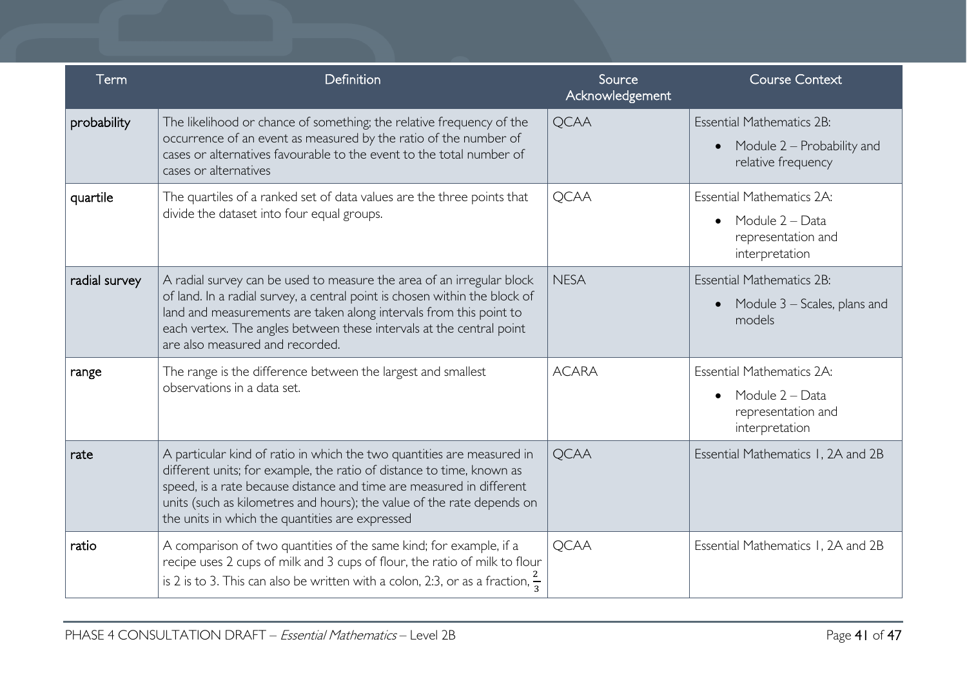| Term          | Definition                                                                                                                                                                                                                                                                                                                                           | Source<br>Acknowledgement | <b>Course Context</b>                                                                                    |
|---------------|------------------------------------------------------------------------------------------------------------------------------------------------------------------------------------------------------------------------------------------------------------------------------------------------------------------------------------------------------|---------------------------|----------------------------------------------------------------------------------------------------------|
| probability   | The likelihood or chance of something; the relative frequency of the<br>occurrence of an event as measured by the ratio of the number of<br>cases or alternatives favourable to the event to the total number of<br>cases or alternatives                                                                                                            | <b>QCAA</b>               | <b>Essential Mathematics 2B:</b><br>Module 2 – Probability and<br>$\bullet$<br>relative frequency        |
| quartile      | The quartiles of a ranked set of data values are the three points that<br>divide the dataset into four equal groups.                                                                                                                                                                                                                                 | <b>QCAA</b>               | <b>Essential Mathematics 2A:</b><br>Module 2 - Data<br>$\bullet$<br>representation and<br>interpretation |
| radial survey | A radial survey can be used to measure the area of an irregular block<br>of land. In a radial survey, a central point is chosen within the block of<br>land and measurements are taken along intervals from this point to<br>each vertex. The angles between these intervals at the central point<br>are also measured and recorded.                 | <b>NESA</b>               | <b>Essential Mathematics 2B:</b><br>Module 3 – Scales, plans and<br>$\bullet$<br>models                  |
| range         | The range is the difference between the largest and smallest<br>observations in a data set.                                                                                                                                                                                                                                                          | <b>ACARA</b>              | <b>Essential Mathematics 2A:</b><br>Module 2 - Data<br>$\bullet$<br>representation and<br>interpretation |
| rate          | A particular kind of ratio in which the two quantities are measured in<br>different units; for example, the ratio of distance to time, known as<br>speed, is a rate because distance and time are measured in different<br>units (such as kilometres and hours); the value of the rate depends on<br>the units in which the quantities are expressed | <b>QCAA</b>               | Essential Mathematics 1, 2A and 2B                                                                       |
| ratio         | A comparison of two quantities of the same kind; for example, if a<br>recipe uses 2 cups of milk and 3 cups of flour, the ratio of milk to flour<br>is 2 is to 3. This can also be written with a colon, 2:3, or as a fraction, $\frac{2}{3}$                                                                                                        | <b>OCAA</b>               | Essential Mathematics 1, 2A and 2B                                                                       |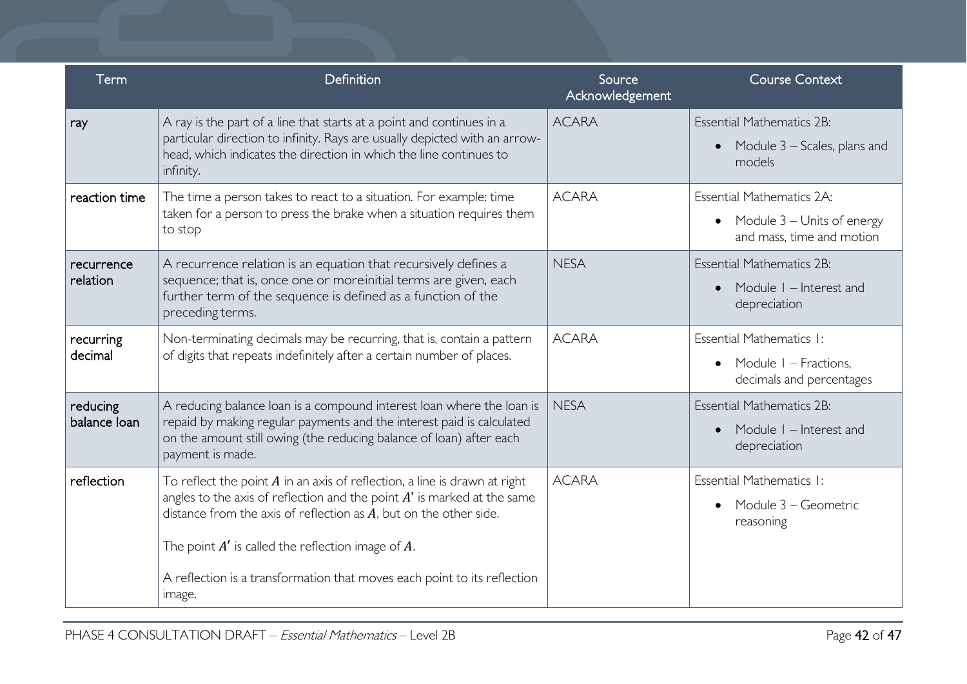| Term                     | Definition                                                                                                                                                                                                                                                                                                                                                                       | Source<br>Acknowledgement | <b>Course Context</b>                                                                      |
|--------------------------|----------------------------------------------------------------------------------------------------------------------------------------------------------------------------------------------------------------------------------------------------------------------------------------------------------------------------------------------------------------------------------|---------------------------|--------------------------------------------------------------------------------------------|
| ray                      | A ray is the part of a line that starts at a point and continues in a<br>particular direction to infinity. Rays are usually depicted with an arrow-<br>head, which indicates the direction in which the line continues to<br>infinity.                                                                                                                                           | <b>ACARA</b>              | <b>Essential Mathematics 2B:</b><br>Module $3$ – Scales, plans and<br>$\bullet$<br>models  |
| reaction time            | The time a person takes to react to a situation. For example: time<br>taken for a person to press the brake when a situation requires them<br>to stop                                                                                                                                                                                                                            | <b>ACARA</b>              | Essential Mathematics 2A:<br>• Module $3$ – Units of energy<br>and mass, time and motion   |
| recurrence<br>relation   | A recurrence relation is an equation that recursively defines a<br>sequence; that is, once one or moreinitial terms are given, each<br>further term of the sequence is defined as a function of the<br>preceding terms.                                                                                                                                                          | <b>NESA</b>               | <b>Essential Mathematics 2B:</b><br>Module I - Interest and<br>$\bullet$<br>depreciation   |
| recurring<br>decimal     | Non-terminating decimals may be recurring, that is, contain a pattern<br>of digits that repeats indefinitely after a certain number of places.                                                                                                                                                                                                                                   | <b>ACARA</b>              | Essential Mathematics I:<br>Module I – Fractions,<br>$\bullet$<br>decimals and percentages |
| reducing<br>balance loan | A reducing balance loan is a compound interest loan where the loan is<br>repaid by making regular payments and the interest paid is calculated<br>on the amount still owing (the reducing balance of loan) after each<br>payment is made.                                                                                                                                        | <b>NESA</b>               | <b>Essential Mathematics 2B:</b><br>Module $I$ – Interest and<br>$\bullet$<br>depreciation |
| reflection               | To reflect the point $A$ in an axis of reflection, a line is drawn at right<br>angles to the axis of reflection and the point $A'$ is marked at the same<br>distance from the axis of reflection as $A$ , but on the other side.<br>The point $A'$ is called the reflection image of $A$ .<br>A reflection is a transformation that moves each point to its reflection<br>image. | <b>ACARA</b>              | Essential Mathematics I:<br>Module 3 – Geometric<br>$\bullet$<br>reasoning                 |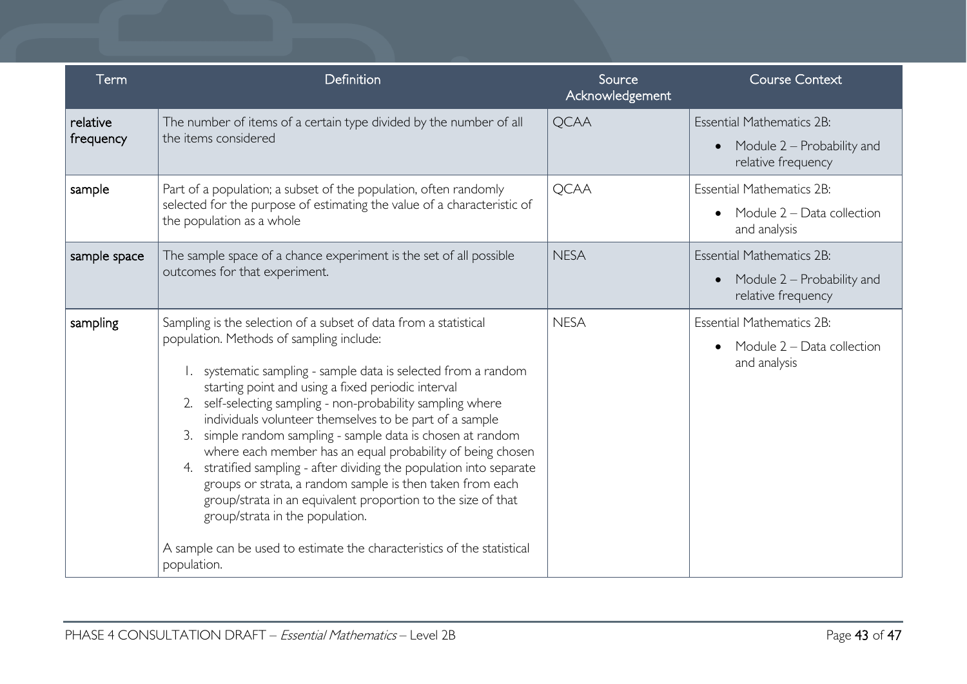| Term                  | Definition                                                                                                                                                                                                                                                                                                                                                                                                                                                                                                                                                                                                                                                                                                                                                                                                                          | Source<br>Acknowledgement | <b>Course Context</b>                                                                             |
|-----------------------|-------------------------------------------------------------------------------------------------------------------------------------------------------------------------------------------------------------------------------------------------------------------------------------------------------------------------------------------------------------------------------------------------------------------------------------------------------------------------------------------------------------------------------------------------------------------------------------------------------------------------------------------------------------------------------------------------------------------------------------------------------------------------------------------------------------------------------------|---------------------------|---------------------------------------------------------------------------------------------------|
| relative<br>frequency | The number of items of a certain type divided by the number of all<br>the items considered                                                                                                                                                                                                                                                                                                                                                                                                                                                                                                                                                                                                                                                                                                                                          | <b>QCAA</b>               | <b>Essential Mathematics 2B:</b><br>Module 2 – Probability and<br>$\bullet$<br>relative frequency |
| sample                | Part of a population; a subset of the population, often randomly<br>selected for the purpose of estimating the value of a characteristic of<br>the population as a whole                                                                                                                                                                                                                                                                                                                                                                                                                                                                                                                                                                                                                                                            | <b>QCAA</b>               | <b>Essential Mathematics 2B:</b><br>Module 2 - Data collection<br>$\bullet$<br>and analysis       |
| sample space          | The sample space of a chance experiment is the set of all possible<br>outcomes for that experiment.                                                                                                                                                                                                                                                                                                                                                                                                                                                                                                                                                                                                                                                                                                                                 | <b>NESA</b>               | <b>Essential Mathematics 2B:</b><br>Module 2 – Probability and<br>$\bullet$<br>relative frequency |
| sampling              | Sampling is the selection of a subset of data from a statistical<br>population. Methods of sampling include:<br>systematic sampling - sample data is selected from a random<br>starting point and using a fixed periodic interval<br>self-selecting sampling - non-probability sampling where<br>2.<br>individuals volunteer themselves to be part of a sample<br>simple random sampling - sample data is chosen at random<br>3.<br>where each member has an equal probability of being chosen<br>stratified sampling - after dividing the population into separate<br>4.<br>groups or strata, a random sample is then taken from each<br>group/strata in an equivalent proportion to the size of that<br>group/strata in the population.<br>A sample can be used to estimate the characteristics of the statistical<br>population. | <b>NESA</b>               | <b>Essential Mathematics 2B:</b><br>Module $2 - Data$ collection<br>$\bullet$<br>and analysis     |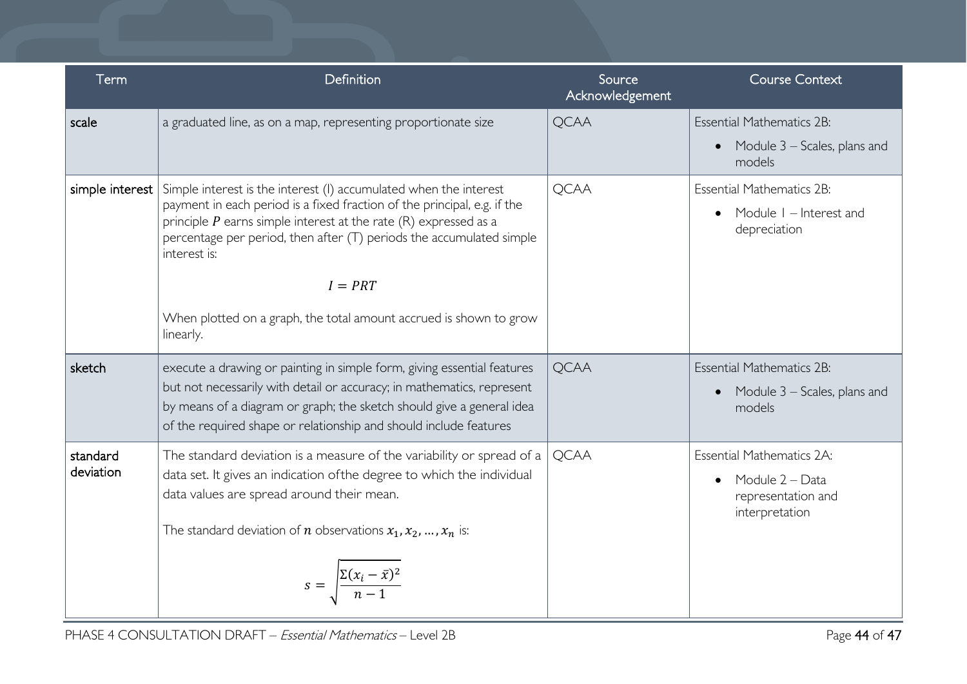| Term                  | Definition                                                                                                                                                                                                                                                                                                        | Source<br>Acknowledgement | <b>Course Context</b>                                                                                    |
|-----------------------|-------------------------------------------------------------------------------------------------------------------------------------------------------------------------------------------------------------------------------------------------------------------------------------------------------------------|---------------------------|----------------------------------------------------------------------------------------------------------|
| scale                 | a graduated line, as on a map, representing proportionate size                                                                                                                                                                                                                                                    | <b>QCAA</b>               | <b>Essential Mathematics 2B:</b><br>Module 3 – Scales, plans and<br>$\bullet$                            |
|                       |                                                                                                                                                                                                                                                                                                                   |                           | models                                                                                                   |
| simple interest       | Simple interest is the interest (I) accumulated when the interest<br>payment in each period is a fixed fraction of the principal, e.g. if the<br>principle $P$ earns simple interest at the rate $(R)$ expressed as a<br>percentage per period, then after (T) periods the accumulated simple<br>interest is:     | <b>QCAA</b>               | <b>Essential Mathematics 2B:</b><br>Module I – Interest and<br>depreciation                              |
|                       | $I = PRT$                                                                                                                                                                                                                                                                                                         |                           |                                                                                                          |
|                       | When plotted on a graph, the total amount accrued is shown to grow<br>linearly.                                                                                                                                                                                                                                   |                           |                                                                                                          |
| sketch                | execute a drawing or painting in simple form, giving essential features<br>but not necessarily with detail or accuracy; in mathematics, represent<br>by means of a diagram or graph; the sketch should give a general idea<br>of the required shape or relationship and should include features                   | <b>QCAA</b>               | <b>Essential Mathematics 2B:</b><br>Module 3 – Scales, plans and<br>$\bullet$<br>models                  |
| standard<br>deviation | The standard deviation is a measure of the variability or spread of a<br>data set. It gives an indication of the degree to which the individual<br>data values are spread around their mean.<br>The standard deviation of <i>n</i> observations $x_1, x_2, , x_n$ is:<br>$s = \frac{\sum (x_i - \bar{x})^2}{n-1}$ | <b>QCAA</b>               | <b>Essential Mathematics 2A:</b><br>Module 2 - Data<br>$\bullet$<br>representation and<br>interpretation |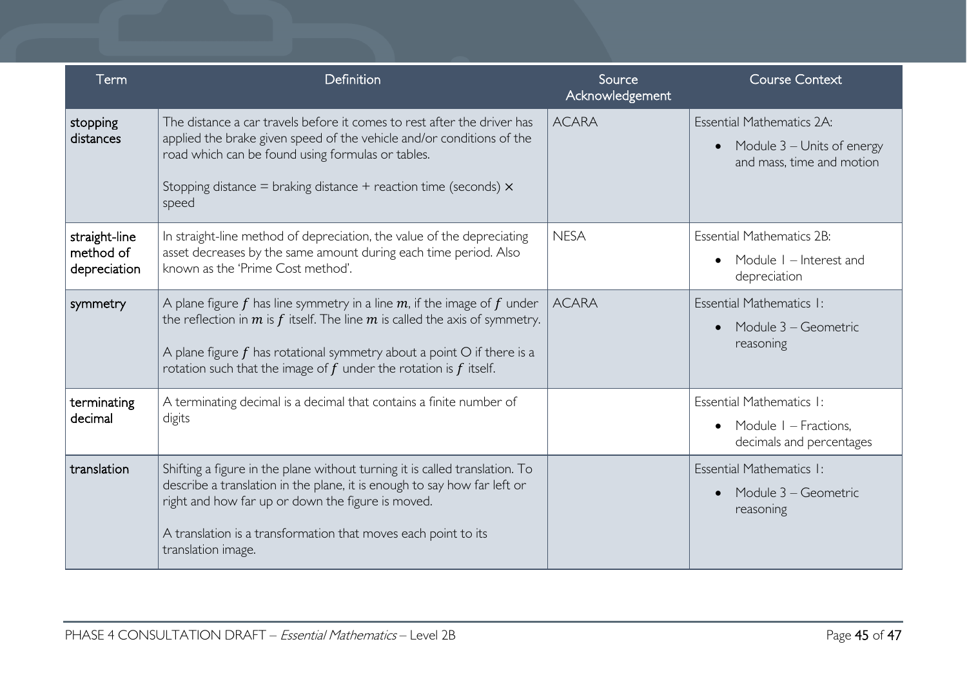| Term                                       | Definition                                                                                                                                                                                                                                                                                                             | Source<br>Acknowledgement | <b>Course Context</b>                                                                             |
|--------------------------------------------|------------------------------------------------------------------------------------------------------------------------------------------------------------------------------------------------------------------------------------------------------------------------------------------------------------------------|---------------------------|---------------------------------------------------------------------------------------------------|
| stopping<br>distances                      | The distance a car travels before it comes to rest after the driver has<br>applied the brake given speed of the vehicle and/or conditions of the<br>road which can be found using formulas or tables.<br>Stopping distance = braking distance + reaction time (seconds) $\times$<br>speed                              | <b>ACARA</b>              | Essential Mathematics 2A:<br>Module 3 - Units of energy<br>$\bullet$<br>and mass, time and motion |
| straight-line<br>method of<br>depreciation | In straight-line method of depreciation, the value of the depreciating<br>asset decreases by the same amount during each time period. Also<br>known as the 'Prime Cost method'.                                                                                                                                        | <b>NESA</b>               | <b>Essential Mathematics 2B:</b><br>Module I – Interest and<br>depreciation                       |
| symmetry                                   | A plane figure f has line symmetry in a line $m$ , if the image of f under<br>the reflection in $m$ is $f$ itself. The line $m$ is called the axis of symmetry.<br>A plane figure $f$ has rotational symmetry about a point $O$ if there is a<br>rotation such that the image of $f$ under the rotation is $f$ itself. | <b>ACARA</b>              | Essential Mathematics I:<br>Module 3 – Geometric<br>reasoning                                     |
| terminating<br>decimal                     | A terminating decimal is a decimal that contains a finite number of<br>digits                                                                                                                                                                                                                                          |                           | Essential Mathematics I:<br>Module I – Fractions,<br>$\bullet$<br>decimals and percentages        |
| translation                                | Shifting a figure in the plane without turning it is called translation. To<br>describe a translation in the plane, it is enough to say how far left or<br>right and how far up or down the figure is moved.<br>A translation is a transformation that moves each point to its<br>translation image.                   |                           | Essential Mathematics I:<br>Module 3 – Geometric<br>$\bullet$<br>reasoning                        |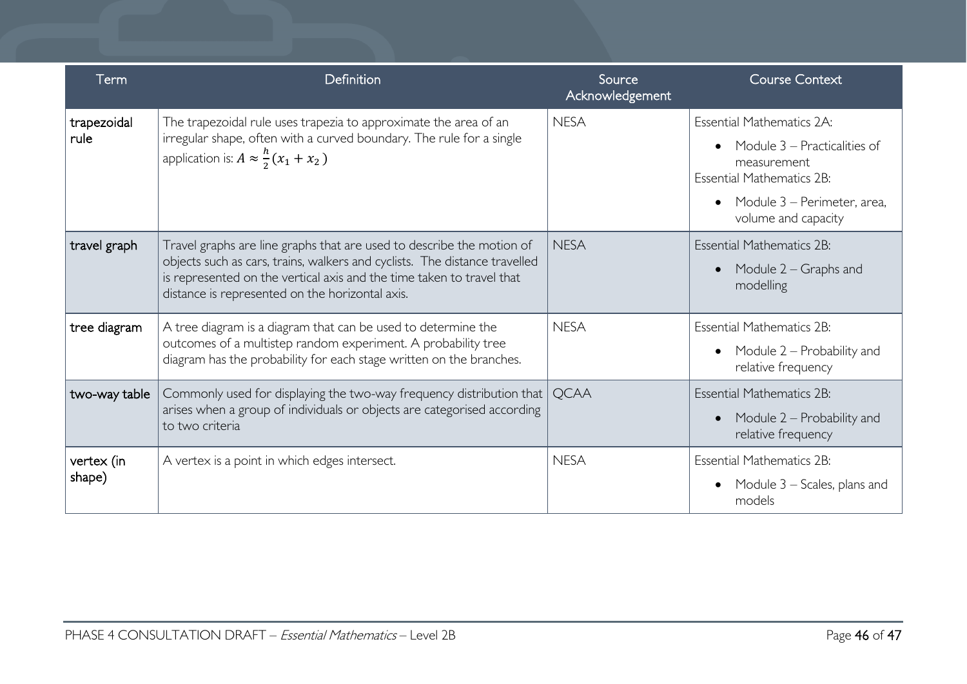| Term                 | Definition                                                                                                                                                                                                                                                                      | Source<br>Acknowledgement | <b>Course Context</b>                                                                                                                                                     |
|----------------------|---------------------------------------------------------------------------------------------------------------------------------------------------------------------------------------------------------------------------------------------------------------------------------|---------------------------|---------------------------------------------------------------------------------------------------------------------------------------------------------------------------|
| trapezoidal<br>rule  | The trapezoidal rule uses trapezia to approximate the area of an<br>irregular shape, often with a curved boundary. The rule for a single<br>application is: $A \approx \frac{h}{2}(x_1 + x_2)$                                                                                  | <b>NESA</b>               | <b>Essential Mathematics 2A:</b><br>Module 3 – Practicalities of<br>measurement<br><b>Essential Mathematics 2B:</b><br>Module 3 - Perimeter, area,<br>volume and capacity |
| travel graph         | Travel graphs are line graphs that are used to describe the motion of<br>objects such as cars, trains, walkers and cyclists. The distance travelled<br>is represented on the vertical axis and the time taken to travel that<br>distance is represented on the horizontal axis. | <b>NESA</b>               | <b>Essential Mathematics 2B:</b><br>Module $2 -$ Graphs and<br>$\bullet$<br>modelling                                                                                     |
| tree diagram         | A tree diagram is a diagram that can be used to determine the<br>outcomes of a multistep random experiment. A probability tree<br>diagram has the probability for each stage written on the branches.                                                                           | <b>NESA</b>               | <b>Essential Mathematics 2B:</b><br>Module 2 – Probability and<br>relative frequency                                                                                      |
| two-way table        | Commonly used for displaying the two-way frequency distribution that<br>arises when a group of individuals or objects are categorised according<br>to two criteria                                                                                                              | <b>OCAA</b>               | <b>Essential Mathematics 2B:</b><br>Module 2 – Probability and<br>$\bullet$<br>relative frequency                                                                         |
| vertex (in<br>shape) | A vertex is a point in which edges intersect.                                                                                                                                                                                                                                   | <b>NESA</b>               | <b>Essential Mathematics 2B:</b><br>Module $3$ – Scales, plans and<br>models                                                                                              |